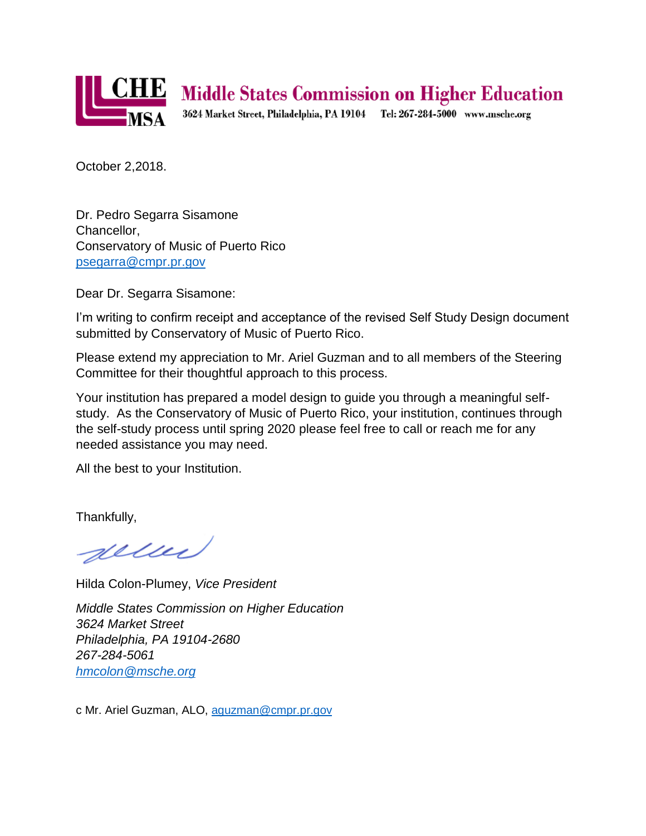

## **CHE** Middle States Commission on Higher Education

3624 Market Street, Philadelphia, PA 19104 Tel: 267-284-5000 www.msche.org

October 2,2018.

Dr. Pedro Segarra Sisamone Chancellor, Conservatory of Music of Puerto Rico [psegarra@cmpr.pr.gov](mailto:psegarra@cmpr.pr.gov)

Dear Dr. Segarra Sisamone:

I'm writing to confirm receipt and acceptance of the revised Self Study Design document submitted by Conservatory of Music of Puerto Rico.

Please extend my appreciation to Mr. Ariel Guzman and to all members of the Steering Committee for their thoughtful approach to this process.

Your institution has prepared a model design to guide you through a meaningful selfstudy. As the Conservatory of Music of Puerto Rico, your institution, continues through the self-study process until spring 2020 please feel free to call or reach me for any needed assistance you may need.

All the best to your Institution.

Thankfully,

geller

Hilda Colon-Plumey, *Vice President*

*Middle States Commission on Higher Education 3624 Market Street Philadelphia, PA 19104-2680 267-284-5061 [hmcolon@msche.org](mailto:TGuerrero@msche.org)*

c Mr. Ariel Guzman, ALO, [aguzman@cmpr.pr.gov](mailto:aguzman@cmpr.pr.gov)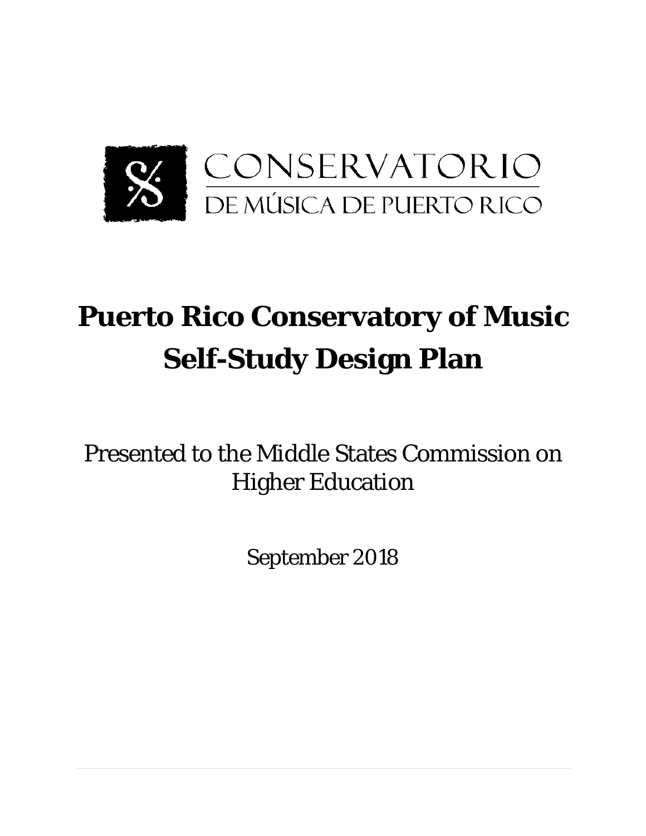

# **Puerto Rico Conservatory of Music Self-Study Design Plan**

Presented to the Middle States Commission on Higher Education

September 2018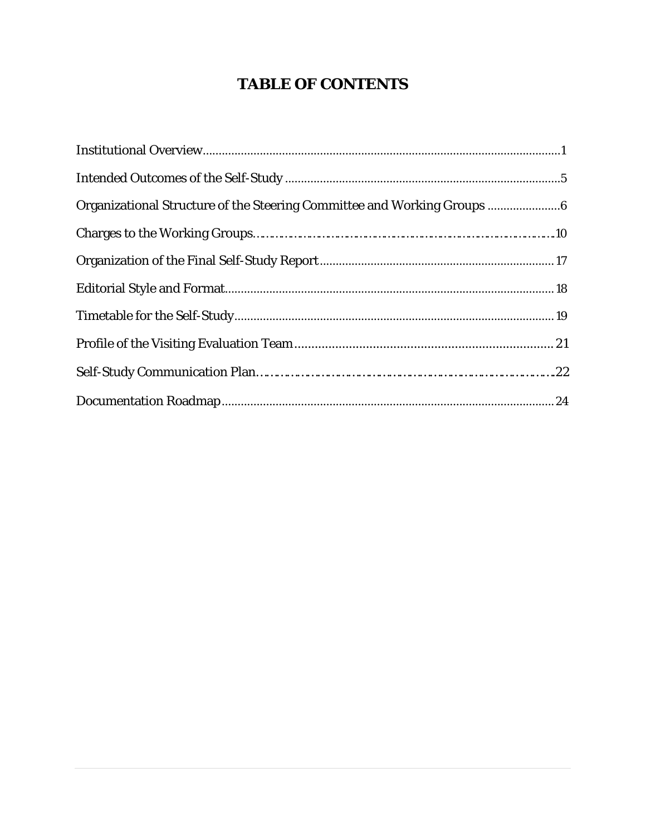## **TABLE OF CONTENTS**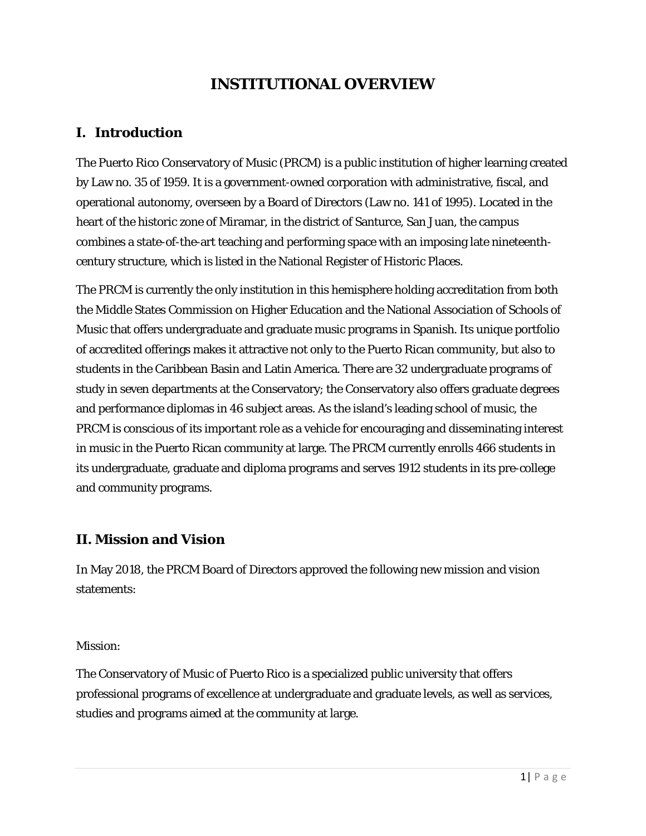## **INSTITUTIONAL OVERVIEW**

## **I. Introduction**

The Puerto Rico Conservatory of Music (PRCM) is a public institution of higher learning created by Law no. 35 of 1959. It is a government-owned corporation with administrative, fiscal, and operational autonomy, overseen by a Board of Directors (Law no. 141 of 1995). Located in the heart of the historic zone of Miramar, in the district of Santurce, San Juan, the campus combines a state-of-the-art teaching and performing space with an imposing late nineteenthcentury structure, which is listed in the National Register of Historic Places.

The PRCM is currently the only institution in this hemisphere holding accreditation from both the Middle States Commission on Higher Education and the National Association of Schools of Music that offers undergraduate and graduate music programs in Spanish. Its unique portfolio of accredited offerings makes it attractive not only to the Puerto Rican community, but also to students in the Caribbean Basin and Latin America. There are 32 undergraduate programs of study in seven departments at the Conservatory; the Conservatory also offers graduate degrees and performance diplomas in 46 subject areas. As the island's leading school of music, the PRCM is conscious of its important role as a vehicle for encouraging and disseminating interest in music in the Puerto Rican community at large. The PRCM currently enrolls 466 students in its undergraduate, graduate and diploma programs and serves 1912 students in its pre-college and community programs.

## **II. Mission and Vision**

In May 2018, the PRCM Board of Directors approved the following new mission and vision statements:

#### *Mission*:

The Conservatory of Music of Puerto Rico is a specialized public university that offers professional programs of excellence at undergraduate and graduate levels, as well as services, studies and programs aimed at the community at large.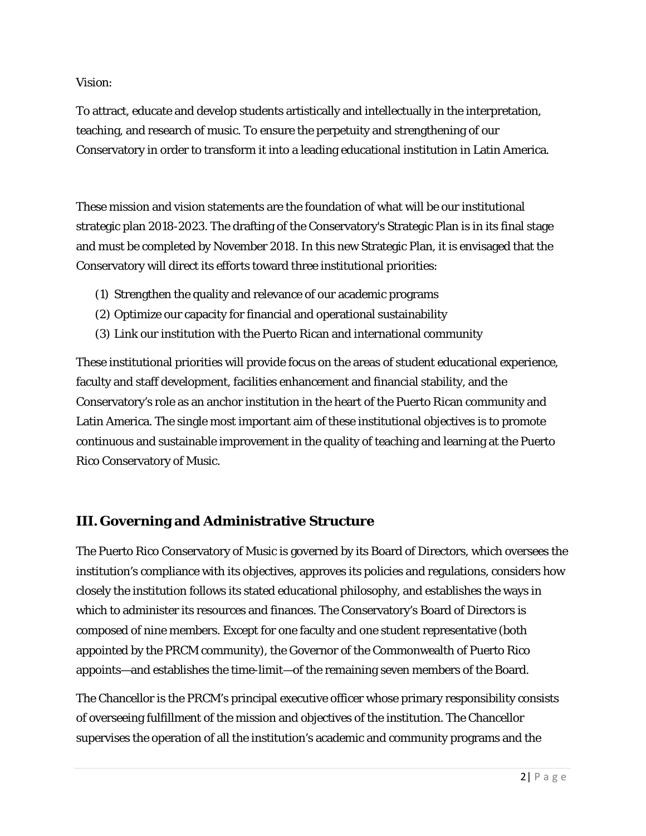#### *Vision*:

To attract, educate and develop students artistically and intellectually in the interpretation, teaching, and research of music. To ensure the perpetuity and strengthening of our Conservatory in order to transform it into a leading educational institution in Latin America.

These mission and vision statements are the foundation of what will be our institutional strategic plan 2018-2023. The drafting of the Conservatory's Strategic Plan is in its final stage and must be completed by November 2018. In this new Strategic Plan, it is envisaged that the Conservatory will direct its efforts toward three institutional priorities:

- (1) Strengthen the quality and relevance of our academic programs
- (2) Optimize our capacity for financial and operational sustainability
- (3) Link our institution with the Puerto Rican and international community

These institutional priorities will provide focus on the areas of student educational experience, faculty and staff development, facilities enhancement and financial stability, and the Conservatory's role as an anchor institution in the heart of the Puerto Rican community and Latin America. The single most important aim of these institutional objectives is to promote continuous and sustainable improvement in the quality of teaching and learning at the Puerto Rico Conservatory of Music.

## **III. Governing and Administrative Structure**

The Puerto Rico Conservatory of Music is governed by its Board of Directors, which oversees the institution's compliance with its objectives, approves its policies and regulations, considers how closely the institution follows its stated educational philosophy, and establishes the ways in which to administer its resources and finances. The Conservatory's Board of Directors is composed of nine members. Except for one faculty and one student representative (both appointed by the PRCM community), the Governor of the Commonwealth of Puerto Rico appoints—and establishes the time-limit—of the remaining seven members of the Board.

The Chancellor is the PRCM's principal executive officer whose primary responsibility consists of overseeing fulfillment of the mission and objectives of the institution. The Chancellor supervises the operation of all the institution's academic and community programs and the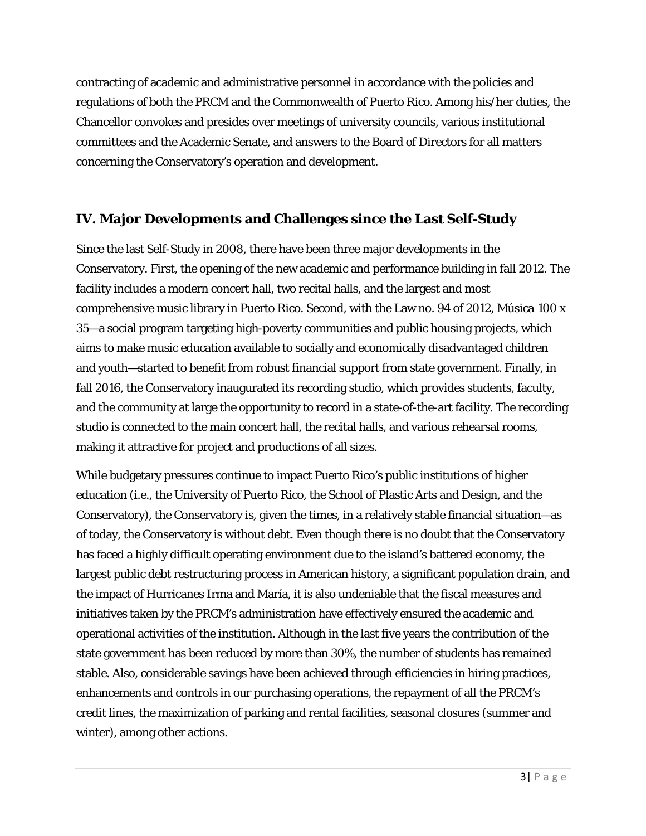contracting of academic and administrative personnel in accordance with the policies and regulations of both the PRCM and the Commonwealth of Puerto Rico. Among his/her duties, the Chancellor convokes and presides over meetings of university councils, various institutional committees and the Academic Senate, and answers to the Board of Directors for all matters concerning the Conservatory's operation and development.

## **IV. Major Developments and Challenges since the Last Self-Study**

Since the last Self-Study in 2008, there have been three major developments in the Conservatory. First, the opening of the new academic and performance building in fall 2012. The facility includes a modern concert hall, two recital halls, and the largest and most comprehensive music library in Puerto Rico. Second, with the Law no. 94 of 2012, *Música 100 x 35*—a social program targeting high-poverty communities and public housing projects, which aims to make music education available to socially and economically disadvantaged children and youth—started to benefit from robust financial support from state government. Finally, in fall 2016, the Conservatory inaugurated its recording studio, which provides students, faculty, and the community at large the opportunity to record in a state-of-the-art facility. The recording studio is connected to the main concert hall, the recital halls, and various rehearsal rooms, making it attractive for project and productions of all sizes.

While budgetary pressures continue to impact Puerto Rico's public institutions of higher education (i.e., the University of Puerto Rico, the School of Plastic Arts and Design, and the Conservatory), the Conservatory is, given the times, in a relatively stable financial situation—as of today, the Conservatory is without debt. Even though there is no doubt that the Conservatory has faced a highly difficult operating environment due to the island's battered economy, the largest public debt restructuring process in American history, a significant population drain, and the impact of Hurricanes Irma and María, it is also undeniable that the fiscal measures and initiatives taken by the PRCM's administration have effectively ensured the academic and operational activities of the institution. Although in the last five years the contribution of the state government has been reduced by more than 30%, the number of students has remained stable. Also, considerable savings have been achieved through efficiencies in hiring practices, enhancements and controls in our purchasing operations, the repayment of all the PRCM's credit lines, the maximization of parking and rental facilities, seasonal closures (summer and winter), among other actions.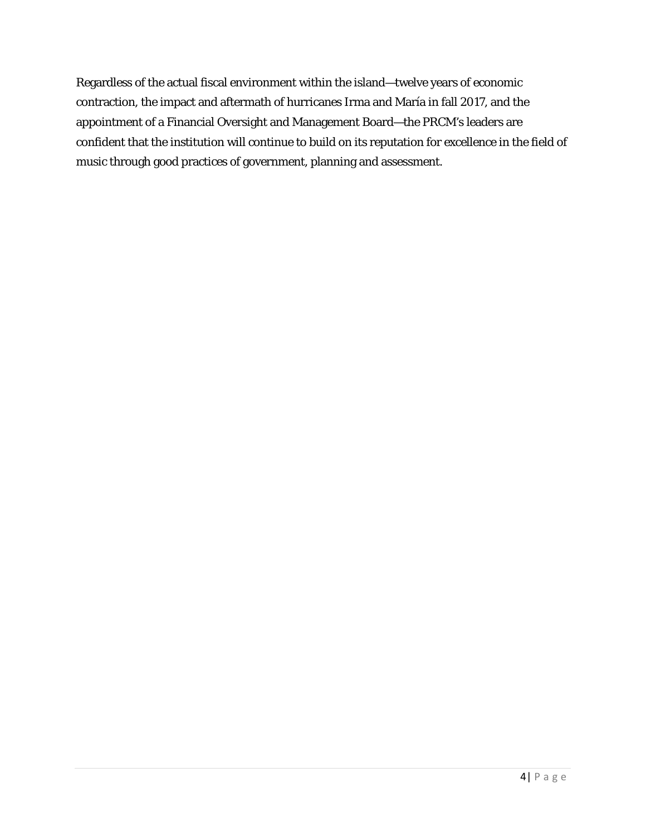Regardless of the actual fiscal environment within the island—twelve years of economic contraction, the impact and aftermath of hurricanes Irma and María in fall 2017, and the appointment of a Financial Oversight and Management Board—the PRCM's leaders are confident that the institution will continue to build on its reputation for excellence in the field of music through good practices of government, planning and assessment.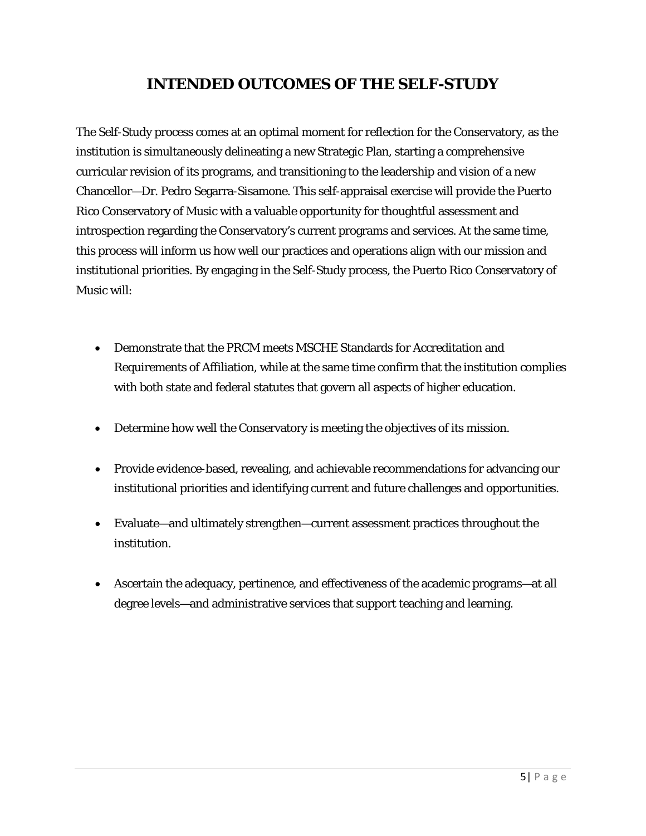## **INTENDED OUTCOMES OF THE SELF-STUDY**

The Self-Study process comes at an optimal moment for reflection for the Conservatory, as the institution is simultaneously delineating a new Strategic Plan, starting a comprehensive curricular revision of its programs, and transitioning to the leadership and vision of a new Chancellor—Dr. Pedro Segarra-Sisamone. This self-appraisal exercise will provide the Puerto Rico Conservatory of Music with a valuable opportunity for thoughtful assessment and introspection regarding the Conservatory's current programs and services. At the same time, this process will inform us how well our practices and operations align with our mission and institutional priorities. By engaging in the Self-Study process, the Puerto Rico Conservatory of Music will:

- Demonstrate that the PRCM meets MSCHE Standards for Accreditation and Requirements of Affiliation, while at the same time confirm that the institution complies with both state and federal statutes that govern all aspects of higher education.
- Determine how well the Conservatory is meeting the objectives of its mission.
- Provide evidence-based, revealing, and achievable recommendations for advancing our institutional priorities and identifying current and future challenges and opportunities.
- Evaluate—and ultimately strengthen—current assessment practices throughout the institution.
- Ascertain the adequacy, pertinence, and effectiveness of the academic programs—at all degree levels—and administrative services that support teaching and learning.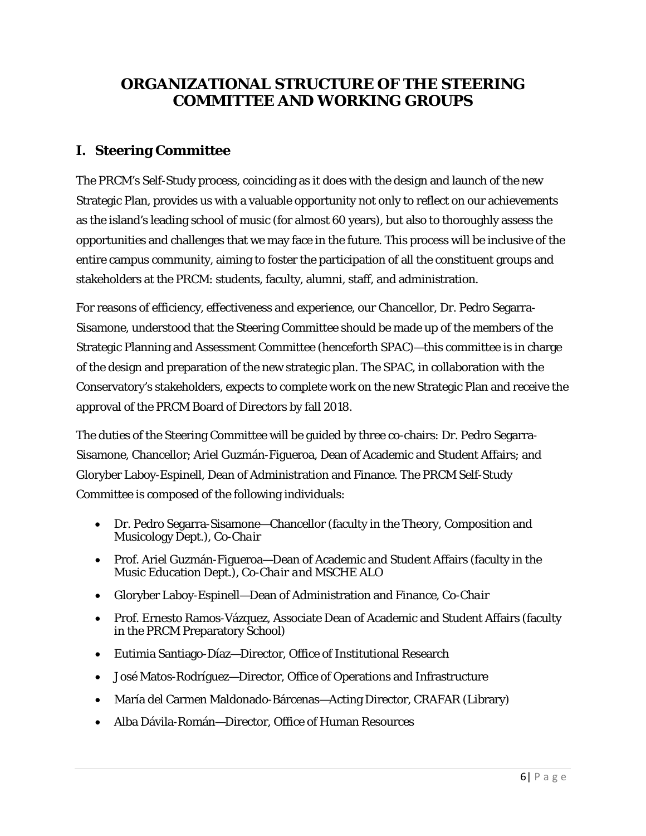## **ORGANIZATIONAL STRUCTURE OF THE STEERING COMMITTEE AND WORKING GROUPS**

## **I. Steering Committee**

The PRCM's Self-Study process, coinciding as it does with the design and launch of the new Strategic Plan, provides us with a valuable opportunity not only to reflect on our achievements as the island's leading school of music (for almost 60 years), but also to thoroughly assess the opportunities and challenges that we may face in the future. This process will be inclusive of the entire campus community, aiming to foster the participation of all the constituent groups and stakeholders at the PRCM: students, faculty, alumni, staff, and administration.

For reasons of efficiency, effectiveness and experience, our Chancellor, Dr. Pedro Segarra-Sisamone, understood that the Steering Committee should be made up of the members of the Strategic Planning and Assessment Committee (henceforth SPAC)—this committee is in charge of the design and preparation of the new strategic plan. The SPAC, in collaboration with the Conservatory's stakeholders, expects to complete work on the new Strategic Plan and receive the approval of the PRCM Board of Directors by fall 2018.

The duties of the Steering Committee will be guided by three co-chairs: Dr. Pedro Segarra-Sisamone, Chancellor; Ariel Guzmán-Figueroa, Dean of Academic and Student Affairs; and Gloryber Laboy-Espinell, Dean of Administration and Finance. The PRCM Self-Study Committee is composed of the following individuals:

- Dr. Pedro Segarra-Sisamone—Chancellor (faculty in the Theory, Composition and Musicology Dept.), *Co-Chair*
- Prof. Ariel Guzmán-Figueroa—Dean of Academic and Student Affairs (faculty in the Music Education Dept.), *Co-Chair and MSCHE ALO*
- Gloryber Laboy-Espinell—Dean of Administration and Finance, *Co-Chair*
- Prof. Ernesto Ramos-Vázquez, Associate Dean of Academic and Student Affairs (faculty in the PRCM Preparatory School)
- Eutimia Santiago-Díaz—Director, Office of Institutional Research
- José Matos-Rodríguez—Director, Office of Operations and Infrastructure
- María del Carmen Maldonado-Bárcenas—Acting Director, CRAFAR (Library)
- Alba Dávila-Román—Director, Office of Human Resources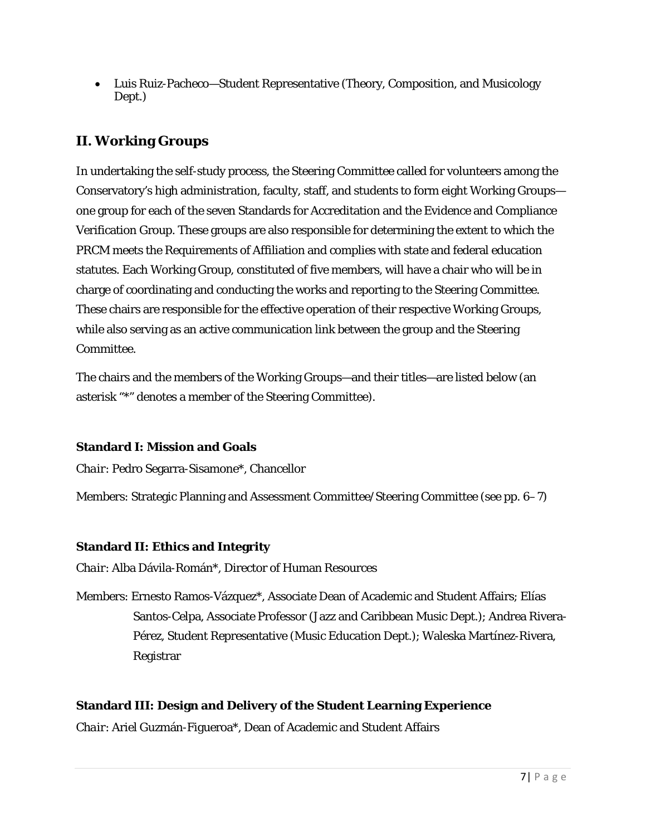• Luis Ruiz-Pacheco—Student Representative (Theory, Composition, and Musicology Dept.)

## **II. Working Groups**

In undertaking the self-study process, the Steering Committee called for volunteers among the Conservatory's high administration, faculty, staff, and students to form eight Working Groups one group for each of the seven Standards for Accreditation and the Evidence and Compliance Verification Group. These groups are also responsible for determining the extent to which the PRCM meets the Requirements of Affiliation and complies with state and federal education statutes. Each Working Group, constituted of five members, will have a chair who will be in charge of coordinating and conducting the works and reporting to the Steering Committee. These chairs are responsible for the effective operation of their respective Working Groups, while also serving as an active communication link between the group and the Steering Committee.

The chairs and the members of the Working Groups—and their titles—are listed below (an asterisk "\*" denotes a member of the Steering Committee).

#### **Standard I: Mission and Goals**

*Chair*: Pedro Segarra-Sisamone\*, Chancellor

Members: Strategic Planning and Assessment Committee/Steering Committee (see pp. 6–7)

#### **Standard II: Ethics and Integrity**

*Chair*: Alba Dávila-Román\*, Director of Human Resources

Members: Ernesto Ramos-Vázquez\*, Associate Dean of Academic and Student Affairs; Elías Santos-Celpa, Associate Professor (Jazz and Caribbean Music Dept.); Andrea Rivera-Pérez, Student Representative (Music Education Dept.); Waleska Martínez-Rivera, Registrar

#### **Standard III: Design and Delivery of the Student Learning Experience**

*Chair*: Ariel Guzmán-Figueroa\*, Dean of Academic and Student Affairs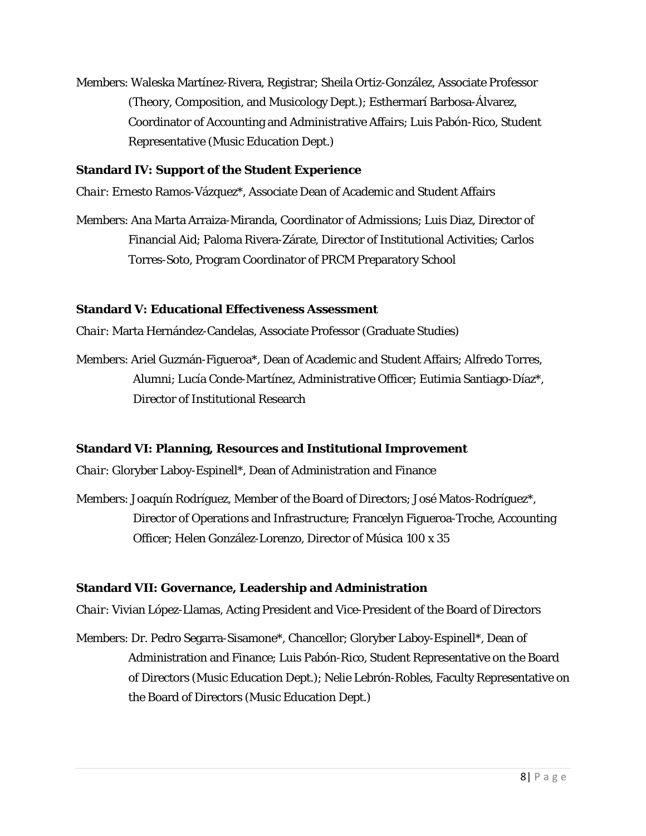Members: Waleska Martínez-Rivera, Registrar; Sheila Ortiz-González, Associate Professor (Theory, Composition, and Musicology Dept.); Esthermarí Barbosa-Álvarez, Coordinator of Accounting and Administrative Affairs; Luis Pabón-Rico, Student Representative (Music Education Dept.)

#### **Standard IV: Support of the Student Experience**

*Chair*: Ernesto Ramos-Vázquez\*, Associate Dean of Academic and Student Affairs

Members: Ana Marta Arraiza-Miranda, Coordinator of Admissions; Luis Diaz, Director of Financial Aid; Paloma Rivera-Zárate, Director of Institutional Activities; Carlos Torres-Soto, Program Coordinator of PRCM Preparatory School

#### **Standard V: Educational Effectiveness Assessment**

*Chair*: Marta Hernández-Candelas, Associate Professor (Graduate Studies)

Members: Ariel Guzmán-Figueroa\*, Dean of Academic and Student Affairs; Alfredo Torres, Alumni; Lucía Conde-Martínez, Administrative Officer; Eutimia Santiago-Díaz\*, Director of Institutional Research

#### **Standard VI: Planning, Resources and Institutional Improvement**

*Chair*: Gloryber Laboy-Espinell\*, Dean of Administration and Finance

Members: Joaquín Rodríguez, Member of the Board of Directors; José Matos-Rodríguez\*, Director of Operations and Infrastructure; Francelyn Figueroa-Troche, Accounting Officer; Helen González-Lorenzo, Director of *Música 100 x 35*

#### **Standard VII: Governance, Leadership and Administration**

*Chair*: Vivian López-Llamas, Acting President and Vice-President of the Board of Directors

Members: Dr. Pedro Segarra-Sisamone\*, Chancellor; Gloryber Laboy-Espinell\*, Dean of Administration and Finance; Luis Pabón-Rico, Student Representative on the Board of Directors (Music Education Dept.); Nelie Lebrón-Robles, Faculty Representative on the Board of Directors (Music Education Dept.)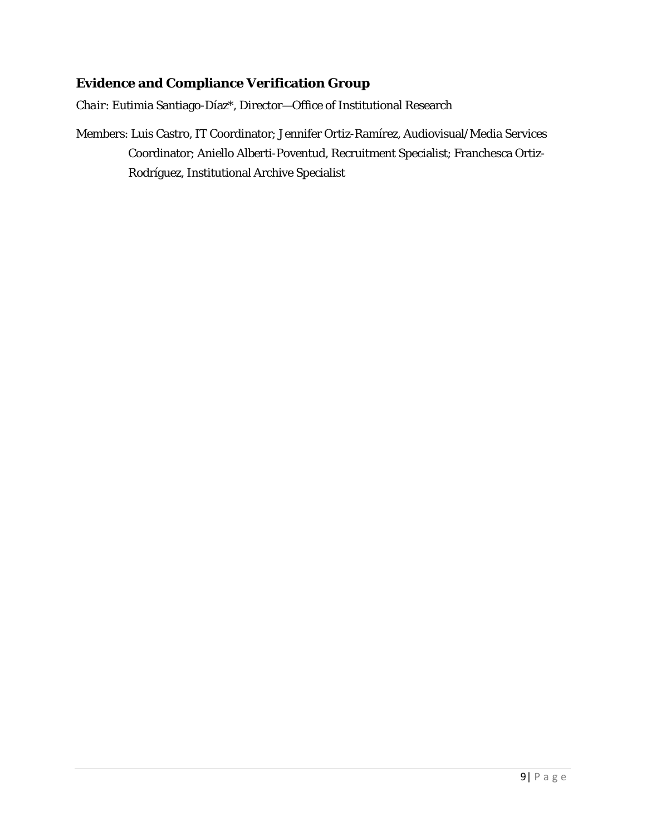## **Evidence and Compliance Verification Group**

*Chair*: Eutimia Santiago-Díaz\*, Director—Office of Institutional Research

Members: Luis Castro, IT Coordinator; Jennifer Ortiz-Ramírez, Audiovisual/Media Services Coordinator; Aniello Alberti-Poventud, Recruitment Specialist; Franchesca Ortiz-Rodríguez, Institutional Archive Specialist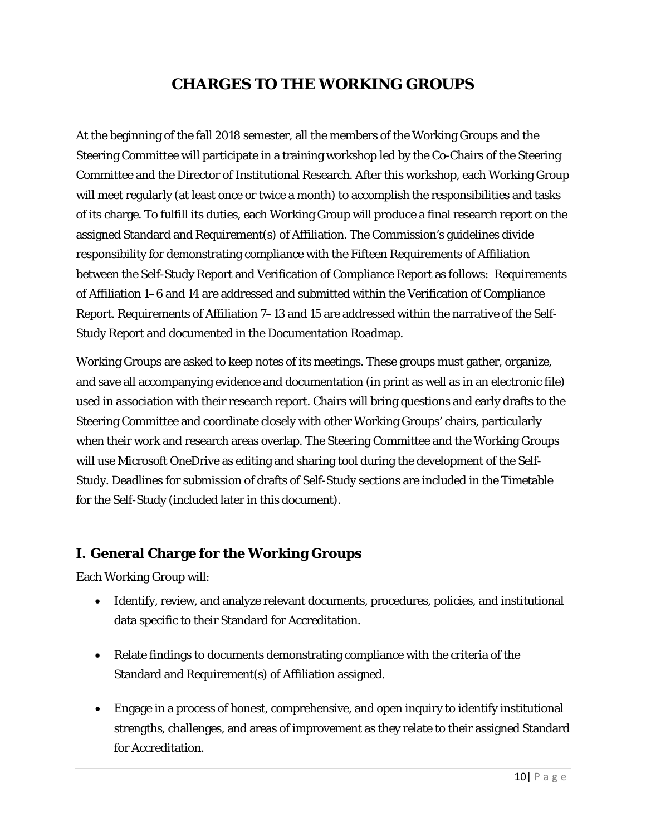## **CHARGES TO THE WORKING GROUPS**

At the beginning of the fall 2018 semester, all the members of the Working Groups and the Steering Committee will participate in a training workshop led by the Co-Chairs of the Steering Committee and the Director of Institutional Research. After this workshop, each Working Group will meet regularly (at least once or twice a month) to accomplish the responsibilities and tasks of its charge. To fulfill its duties, each Working Group will produce a final research report on the assigned Standard and Requirement(s) of Affiliation. The Commission's guidelines divide responsibility for demonstrating compliance with the Fifteen Requirements of Affiliation between the Self-Study Report and Verification of Compliance Report as follows: Requirements of Affiliation 1–6 and 14 are addressed and submitted within the Verification of Compliance Report. Requirements of Affiliation 7–13 and 15 are addressed within the narrative of the Self-Study Report and documented in the Documentation Roadmap.

Working Groups are asked to keep notes of its meetings. These groups must gather, organize, and save all accompanying evidence and documentation (in print as well as in an electronic file) used in association with their research report. Chairs will bring questions and early drafts to the Steering Committee and coordinate closely with other Working Groups' chairs, particularly when their work and research areas overlap. The Steering Committee and the Working Groups will use Microsoft OneDrive as editing and sharing tool during the development of the Self-Study. Deadlines for submission of drafts of Self-Study sections are included in the Timetable for the Self-Study (included later in this document).

## **I. General Charge for the Working Groups**

Each Working Group will:

- Identify, review, and analyze relevant documents, procedures, policies, and institutional data specific to their Standard for Accreditation.
- Relate findings to documents demonstrating compliance with the criteria of the Standard and Requirement(s) of Affiliation assigned.
- Engage in a process of honest, comprehensive, and open inquiry to identify institutional strengths, challenges, and areas of improvement as they relate to their assigned Standard for Accreditation.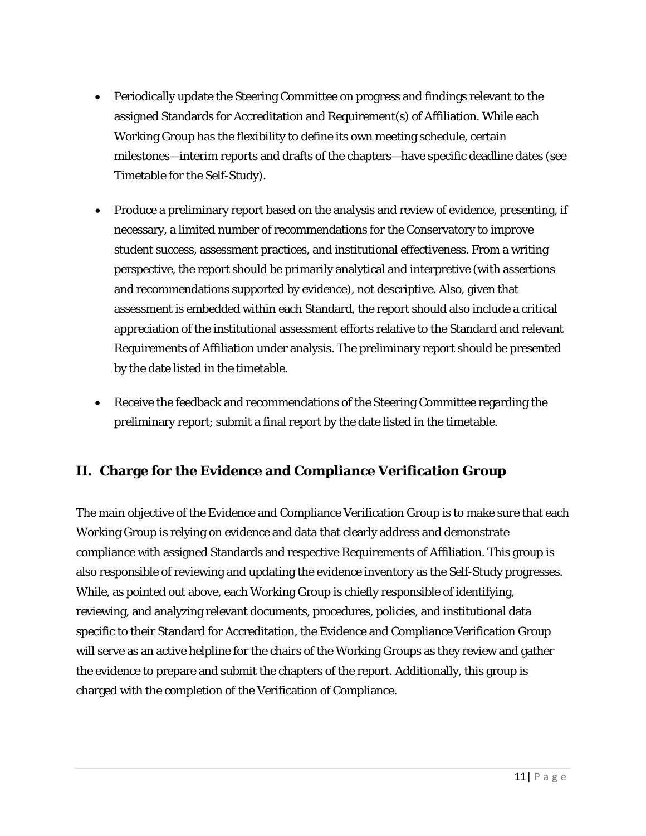- Periodically update the Steering Committee on progress and findings relevant to the assigned Standards for Accreditation and Requirement(s) of Affiliation. While each Working Group has the flexibility to define its own meeting schedule, certain milestones—interim reports and drafts of the chapters—have specific deadline dates (see Timetable for the Self-Study).
- Produce a preliminary report based on the analysis and review of evidence, presenting, if necessary, a limited number of recommendations for the Conservatory to improve student success, assessment practices, and institutional effectiveness. From a writing perspective, the report should be primarily analytical and interpretive (with assertions and recommendations supported by evidence), not descriptive. Also, given that assessment is embedded within each Standard, the report should also include a critical appreciation of the institutional assessment efforts relative to the Standard and relevant Requirements of Affiliation under analysis. The preliminary report should be presented by the date listed in the timetable.
- Receive the feedback and recommendations of the Steering Committee regarding the preliminary report; submit a final report by the date listed in the timetable.

## **II. Charge for the Evidence and Compliance Verification Group**

The main objective of the Evidence and Compliance Verification Group is to make sure that each Working Group is relying on evidence and data that clearly address and demonstrate compliance with assigned Standards and respective Requirements of Affiliation. This group is also responsible of reviewing and updating the evidence inventory as the Self-Study progresses. While, as pointed out above, each Working Group is chiefly responsible of identifying, reviewing, and analyzing relevant documents, procedures, policies, and institutional data specific to their Standard for Accreditation, the Evidence and Compliance Verification Group will serve as an active helpline for the chairs of the Working Groups as they review and gather the evidence to prepare and submit the chapters of the report. Additionally, this group is charged with the completion of the Verification of Compliance.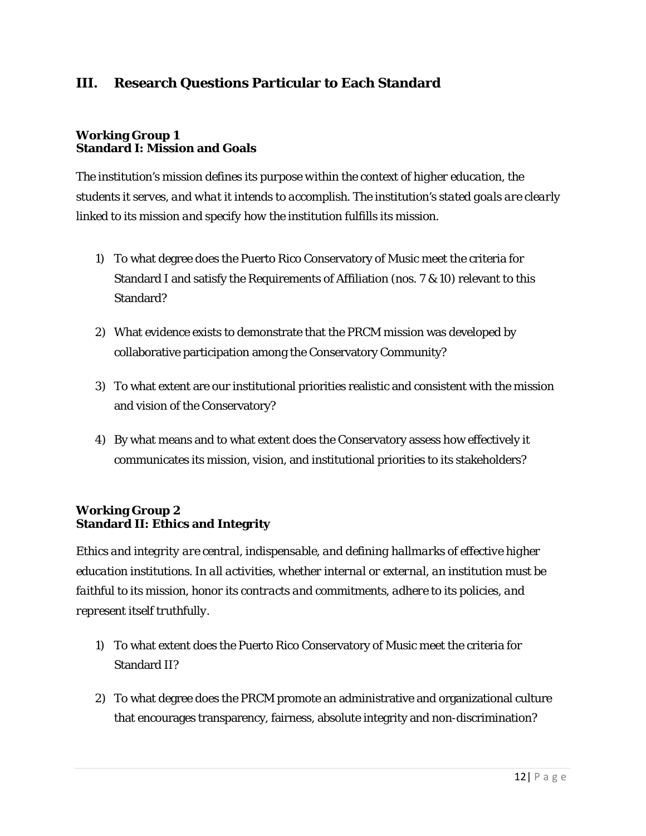## **III. Research Questions Particular to Each Standard**

#### **Working Group 1 Standard I: Mission and Goals**

*The institution's mission defines its purpose within the context of higher education, the students it serves, and what it intends to accomplish. The institution's stated goals are clearly linked to its mission and specify how the institution fulfills its mission.*

- 1) To what degree does the Puerto Rico Conservatory of Music meet the criteria for Standard I and satisfy the Requirements of Affiliation (nos. 7 & 10) relevant to this Standard?
- 2) What evidence exists to demonstrate that the PRCM mission was developed by collaborative participation among the Conservatory Community?
- 3) To what extent are our institutional priorities realistic and consistent with the mission and vision of the Conservatory?
- 4) By what means and to what extent does the Conservatory assess how effectively it communicates its mission, vision, and institutional priorities to its stakeholders?

#### **Working Group 2 Standard II: Ethics and Integrity**

*Ethics and integrity are central, indispensable, and defining hallmarks of effective higher education institutions. In all activities, whether internal or external, an institution must be faithful to its mission, honor its contracts and commitments, adhere to its policies, and represent itself truthfully.*

- 1) To what extent does the Puerto Rico Conservatory of Music meet the criteria for Standard II?
- 2) To what degree does the PRCM promote an administrative and organizational culture that encourages transparency, fairness, absolute integrity and non-discrimination?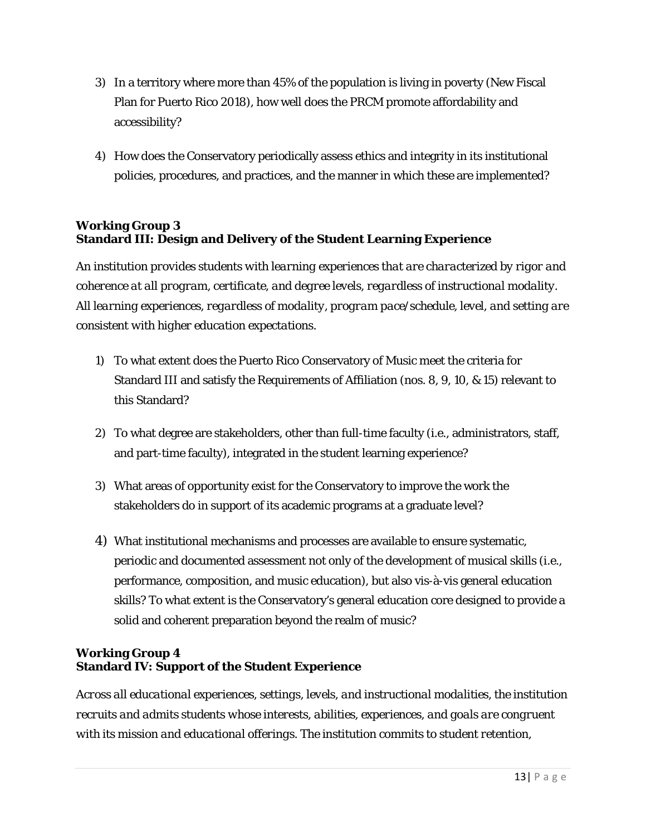- 3) In a territory where more than 45% of the population is living in poverty (New Fiscal Plan for Puerto Rico 2018), how well does the PRCM promote affordability and accessibility?
- 4) How does the Conservatory periodically assess ethics and integrity in its institutional policies, procedures, and practices, and the manner in which these are implemented?

#### **Working Group 3 Standard III: Design and Delivery of the Student Learning Experience**

*An institution provides students with learning experiences that are characterized by rigor and coherence at all program, certificate, and degree levels, regardless of instructional modality. All learning experiences, regardless of modality, program pace/schedule, level, and setting are consistent with higher education expectations.*

- 1) To what extent does the Puerto Rico Conservatory of Music meet the criteria for Standard III and satisfy the Requirements of Affiliation (nos. 8, 9, 10, & 15) relevant to this Standard?
- 2) To what degree are stakeholders, other than full-time faculty (i.e., administrators, staff, and part-time faculty), integrated in the student learning experience?
- 3) What areas of opportunity exist for the Conservatory to improve the work the stakeholders do in support of its academic programs at a graduate level?
- 4) What institutional mechanisms and processes are available to ensure systematic, periodic and documented assessment not only of the development of musical skills (i.e., performance, composition, and music education), but also vis-à-vis general education skills? To what extent is the Conservatory's general education core designed to provide a solid and coherent preparation beyond the realm of music?

#### **Working Group 4 Standard IV: Support of the Student Experience**

*Across all educational experiences, settings, levels, and instructional modalities, the institution recruits and admits students whose interests, abilities, experiences, and goals are congruent with its mission and educational offerings. The institution commits to student retention,*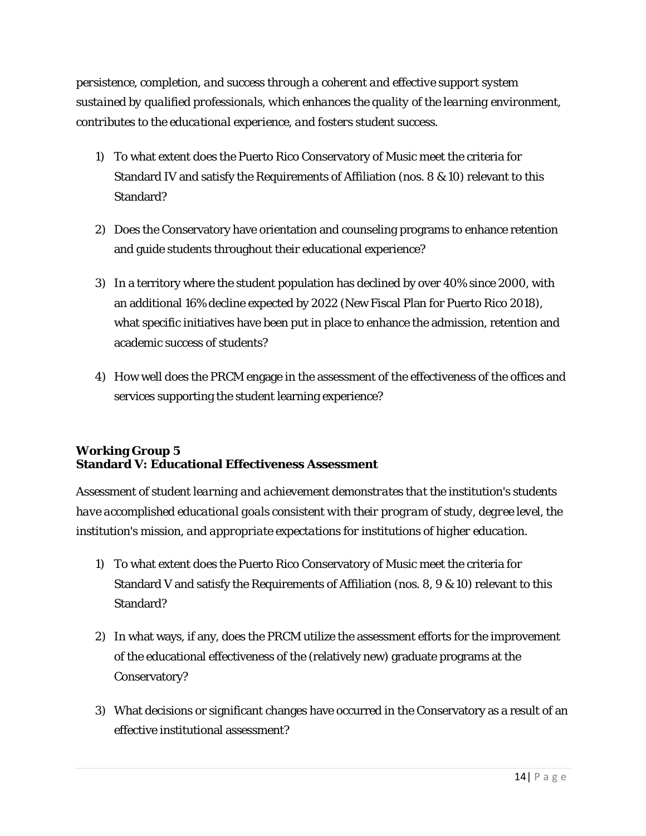*persistence, completion, and success through a coherent and effective support system sustained by qualified professionals, which enhances the quality of the learning environment, contributes to the educational experience, and fosters student success*.

- 1) To what extent does the Puerto Rico Conservatory of Music meet the criteria for Standard IV and satisfy the Requirements of Affiliation (nos. 8 & 10) relevant to this Standard?
- 2) Does the Conservatory have orientation and counseling programs to enhance retention and guide students throughout their educational experience?
- 3) In a territory where the student population has declined by over 40% since 2000, with an additional 16% decline expected by 2022 (New Fiscal Plan for Puerto Rico 2018), what specific initiatives have been put in place to enhance the admission, retention and academic success of students?
- 4) How well does the PRCM engage in the assessment of the effectiveness of the offices and services supporting the student learning experience?

#### **Working Group 5 Standard V: Educational Effectiveness Assessment**

*Assessment of student learning and achievement demonstrates that the institution's students have accomplished educational goals consistent with their program of study, degree level, the institution's mission, and appropriate expectations for institutions of higher education.*

- 1) To what extent does the Puerto Rico Conservatory of Music meet the criteria for Standard V and satisfy the Requirements of Affiliation (nos. 8, 9 & 10) relevant to this Standard?
- 2) In what ways, if any, does the PRCM utilize the assessment efforts for the improvement of the educational effectiveness of the (relatively new) graduate programs at the Conservatory?
- 3) What decisions or significant changes have occurred in the Conservatory as a result of an effective institutional assessment?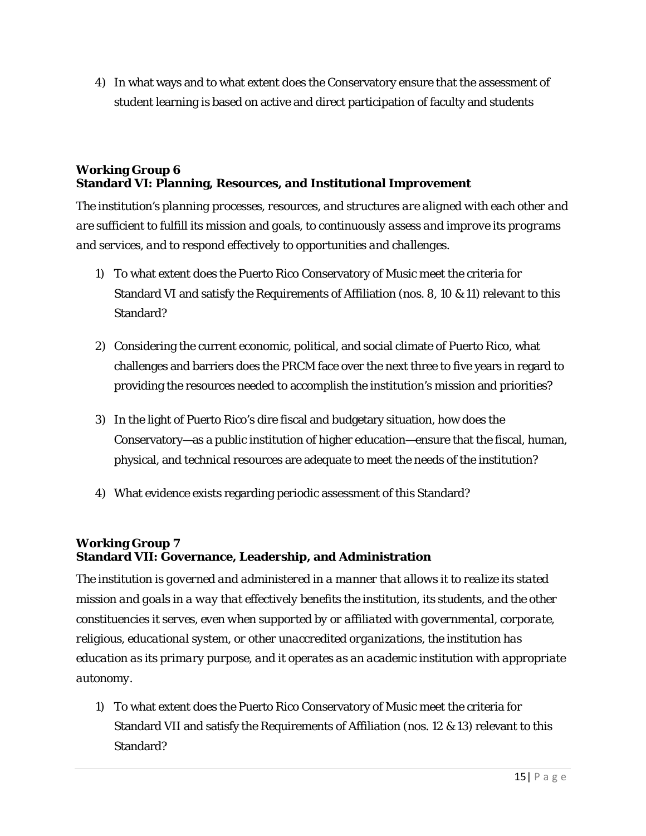4) In what ways and to what extent does the Conservatory ensure that the assessment of student learning is based on active and direct participation of faculty and students

#### **Working Group 6 Standard VI: Planning, Resources, and Institutional Improvement**

*The institution's planning processes, resources, and structures are aligned with each other and are sufficient to fulfill its mission and goals, to continuously assess and improve its programs and services, and to respond effectively to opportunities and challenges.*

- 1) To what extent does the Puerto Rico Conservatory of Music meet the criteria for Standard VI and satisfy the Requirements of Affiliation (nos. 8, 10 & 11) relevant to this Standard?
- 2) Considering the current economic, political, and social climate of Puerto Rico, what challenges and barriers does the PRCM face over the next three to five years in regard to providing the resources needed to accomplish the institution's mission and priorities?
- 3) In the light of Puerto Rico's dire fiscal and budgetary situation, how does the Conservatory—as a public institution of higher education—ensure that the fiscal, human, physical, and technical resources are adequate to meet the needs of the institution?
- 4) What evidence exists regarding periodic assessment of this Standard?

#### **Working Group 7 Standard VII: Governance, Leadership, and Administration**

*The institution is governed and administered in a manner that allows it to realize its stated mission and goals in a way that effectively benefits the institution, its students, and the other constituencies it serves, even when supported by or affiliated with governmental, corporate, religious, educational system, or other unaccredited organizations, the institution has education as its primary purpose, and it operates as an academic institution with appropriate autonomy*.

1) To what extent does the Puerto Rico Conservatory of Music meet the criteria for Standard VII and satisfy the Requirements of Affiliation (nos. 12 & 13) relevant to this Standard?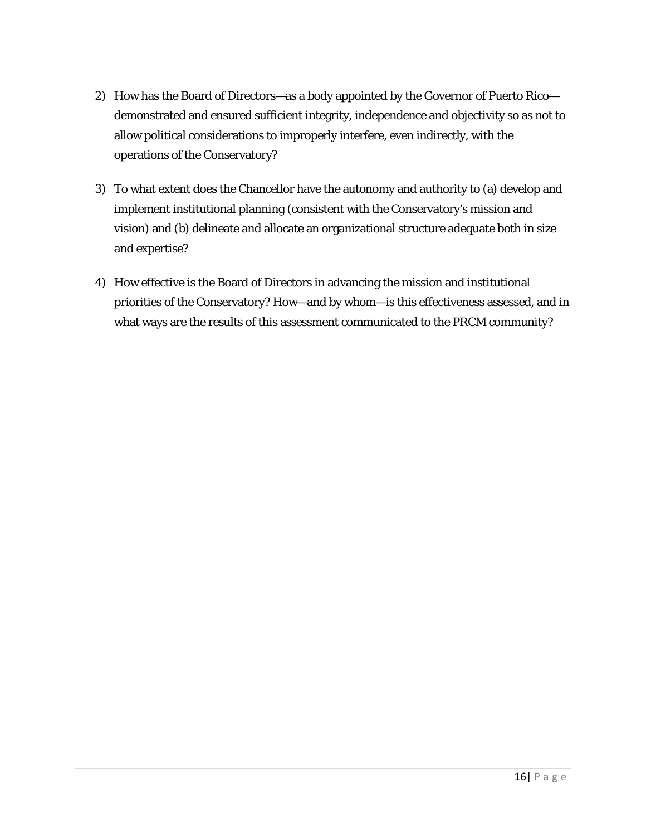- 2) How has the Board of Directors—as a body appointed by the Governor of Puerto Rico demonstrated and ensured sufficient integrity, independence and objectivity so as not to allow political considerations to improperly interfere, even indirectly, with the operations of the Conservatory?
- 3) To what extent does the Chancellor have the autonomy and authority to (a) develop and implement institutional planning (consistent with the Conservatory's mission and vision) and (b) delineate and allocate an organizational structure adequate both in size and expertise?
- 4) How effective is the Board of Directors in advancing the mission and institutional priorities of the Conservatory? How—and by whom—is this effectiveness assessed, and in what ways are the results of this assessment communicated to the PRCM community?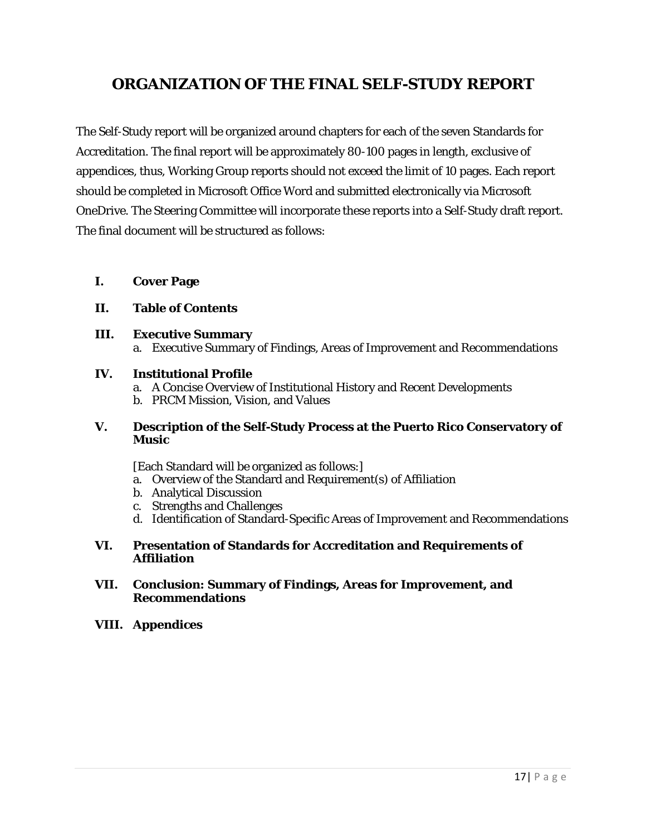## **ORGANIZATION OF THE FINAL SELF-STUDY REPORT**

The Self-Study report will be organized around chapters for each of the seven Standards for Accreditation. The final report will be approximately 80-100 pages in length, exclusive of appendices, thus, Working Group reports should not exceed the limit of 10 pages. Each report should be completed in Microsoft Office Word and submitted electronically via Microsoft OneDrive. The Steering Committee will incorporate these reports into a Self-Study draft report. The final document will be structured as follows:

**I. Cover Page**

#### **II. Table of Contents**

**III. Executive Summary** a. Executive Summary of Findings, Areas of Improvement and Recommendations

#### **IV. Institutional Profile**

- a. A Concise Overview of Institutional History and Recent Developments
- b. PRCM Mission, Vision, and Values

#### **V. Description of the Self-Study Process at the Puerto Rico Conservatory of Music**

[Each Standard will be organized as follows:]

- a. Overview of the Standard and Requirement(s) of Affiliation
- b. Analytical Discussion
- c. Strengths and Challenges
- d. Identification of Standard-Specific Areas of Improvement and Recommendations

#### **VI. Presentation of Standards for Accreditation and Requirements of Affiliation**

#### **VII. Conclusion: Summary of Findings, Areas for Improvement, and Recommendations**

#### **VIII. Appendices**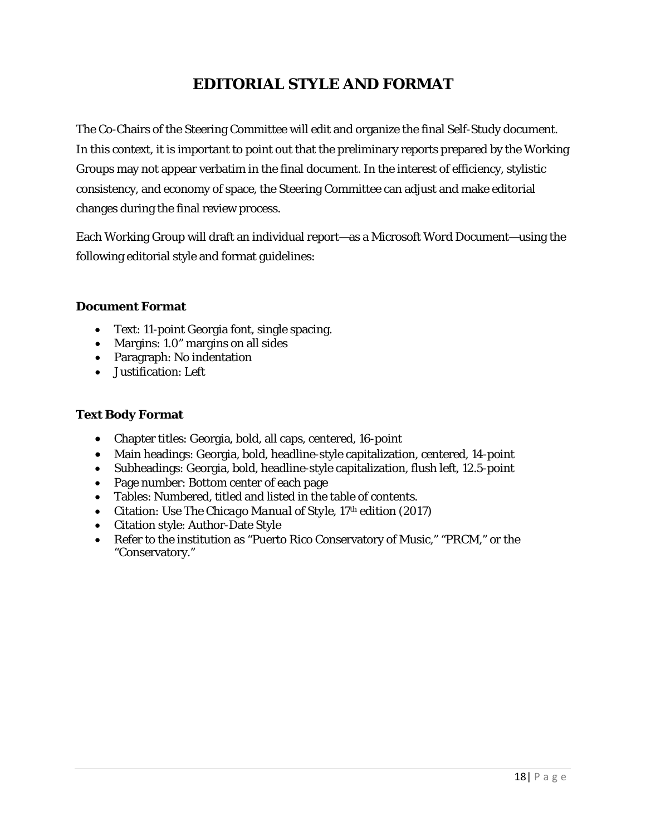## **EDITORIAL STYLE AND FORMAT**

The Co-Chairs of the Steering Committee will edit and organize the final Self-Study document. In this context, it is important to point out that the preliminary reports prepared by the Working Groups may not appear verbatim in the final document. In the interest of efficiency, stylistic consistency, and economy of space, the Steering Committee can adjust and make editorial changes during the final review process.

Each Working Group will draft an individual report—as a Microsoft Word Document—using the following editorial style and format guidelines:

#### **Document Format**

- Text: 11-point Georgia font, single spacing.
- Margins: 1.0" margins on all sides
- Paragraph: No indentation
- Justification: Left

#### **Text Body Format**

- Chapter titles: Georgia, bold, all caps, centered, 16-point
- Main headings: Georgia, bold, headline-style capitalization, centered, 14-point
- Subheadings: Georgia, bold, headline-style capitalization, flush left, 12.5-point
- Page number: Bottom center of each page
- Tables: Numbered, titled and listed in the table of contents.
- Citation: Use *The Chicago Manual of Style*, 17<sup>th</sup> edition (2017)
- Citation style: Author-Date Style
- Refer to the institution as "Puerto Rico Conservatory of Music," "PRCM," or the "Conservatory."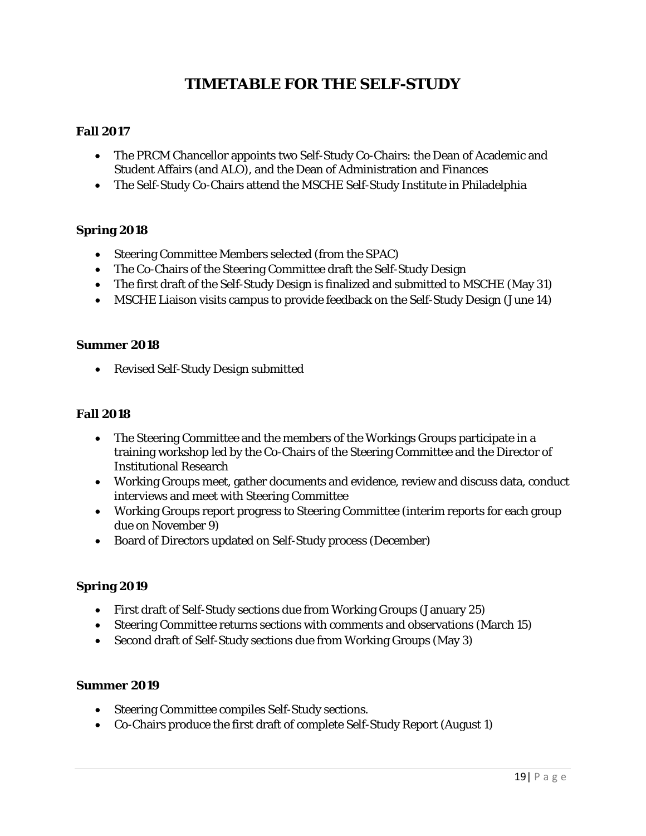## **TIMETABLE FOR THE SELF-STUDY**

#### **Fall 2017**

- The PRCM Chancellor appoints two Self-Study Co-Chairs: the Dean of Academic and Student Affairs (and ALO), and the Dean of Administration and Finances
- The Self-Study Co-Chairs attend the MSCHE Self-Study Institute in Philadelphia

#### **Spring 2018**

- Steering Committee Members selected (from the SPAC)
- The Co-Chairs of the Steering Committee draft the Self-Study Design
- The first draft of the Self-Study Design is finalized and submitted to MSCHE (May 31)
- MSCHE Liaison visits campus to provide feedback on the Self-Study Design (June 14)

#### **Summer 2018**

• Revised Self-Study Design submitted

#### **Fall 2018**

- The Steering Committee and the members of the Workings Groups participate in a training workshop led by the Co-Chairs of the Steering Committee and the Director of Institutional Research
- Working Groups meet, gather documents and evidence, review and discuss data, conduct interviews and meet with Steering Committee
- Working Groups report progress to Steering Committee (interim reports for each group due on November 9)
- Board of Directors updated on Self-Study process (December)

#### **Spring 2019**

- First draft of Self-Study sections due from Working Groups (January 25)
- Steering Committee returns sections with comments and observations (March 15)
- Second draft of Self-Study sections due from Working Groups (May 3)

#### **Summer 2019**

- Steering Committee compiles Self-Study sections.
- Co-Chairs produce the first draft of complete Self-Study Report (August 1)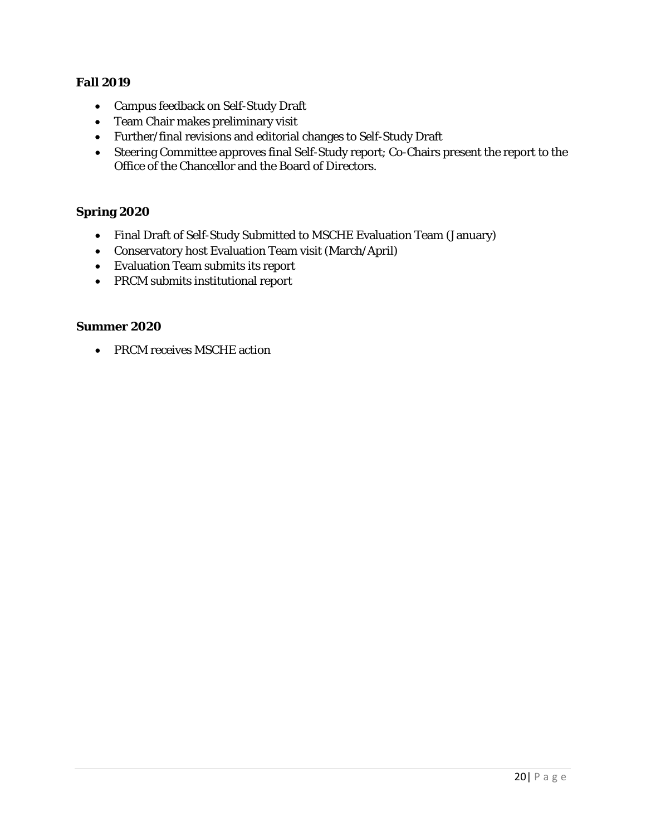#### **Fall 2019**

- Campus feedback on Self-Study Draft
- Team Chair makes preliminary visit
- Further/final revisions and editorial changes to Self-Study Draft
- Steering Committee approves final Self-Study report; Co-Chairs present the report to the Office of the Chancellor and the Board of Directors.

#### **Spring 2020**

- Final Draft of Self-Study Submitted to MSCHE Evaluation Team (January)
- Conservatory host Evaluation Team visit (March/April)
- Evaluation Team submits its report
- PRCM submits institutional report

#### **Summer 2020**

• PRCM receives MSCHE action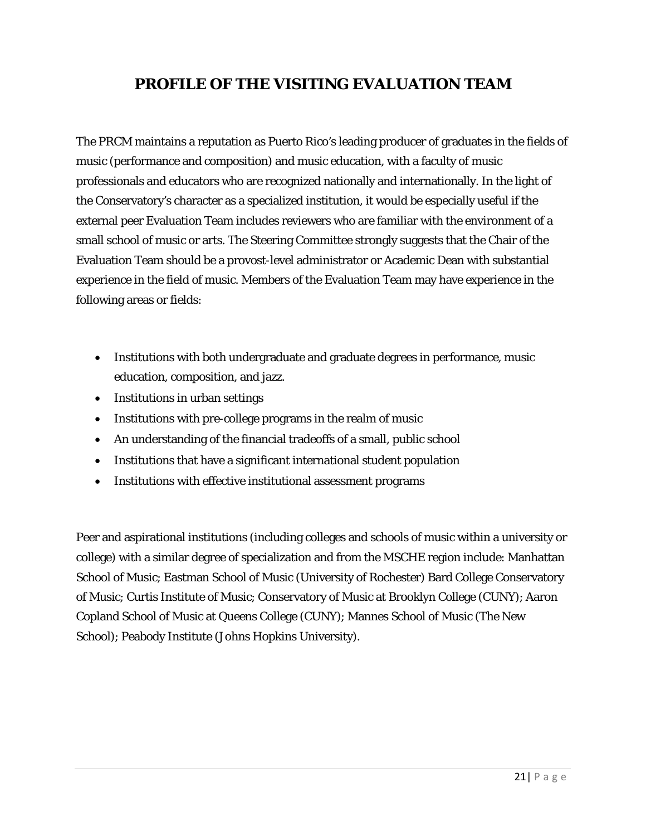## **PROFILE OF THE VISITING EVALUATION TEAM**

The PRCM maintains a reputation as Puerto Rico's leading producer of graduates in the fields of music (performance and composition) and music education, with a faculty of music professionals and educators who are recognized nationally and internationally. In the light of the Conservatory's character as a specialized institution, it would be especially useful if the external peer Evaluation Team includes reviewers who are familiar with the environment of a small school of music or arts. The Steering Committee strongly suggests that the Chair of the Evaluation Team should be a provost-level administrator or Academic Dean with substantial experience in the field of music. Members of the Evaluation Team may have experience in the following areas or fields:

- Institutions with both undergraduate and graduate degrees in performance, music education, composition, and jazz.
- Institutions in urban settings
- Institutions with pre-college programs in the realm of music
- An understanding of the financial tradeoffs of a small, public school
- Institutions that have a significant international student population
- Institutions with effective institutional assessment programs

Peer and aspirational institutions (including colleges and schools of music within a university or college) with a similar degree of specialization and from the MSCHE region include: Manhattan School of Music; Eastman School of Music (University of Rochester) Bard College Conservatory of Music; Curtis Institute of Music; Conservatory of Music at Brooklyn College (CUNY); Aaron Copland School of Music at Queens College (CUNY); Mannes School of Music (The New School); Peabody Institute (Johns Hopkins University).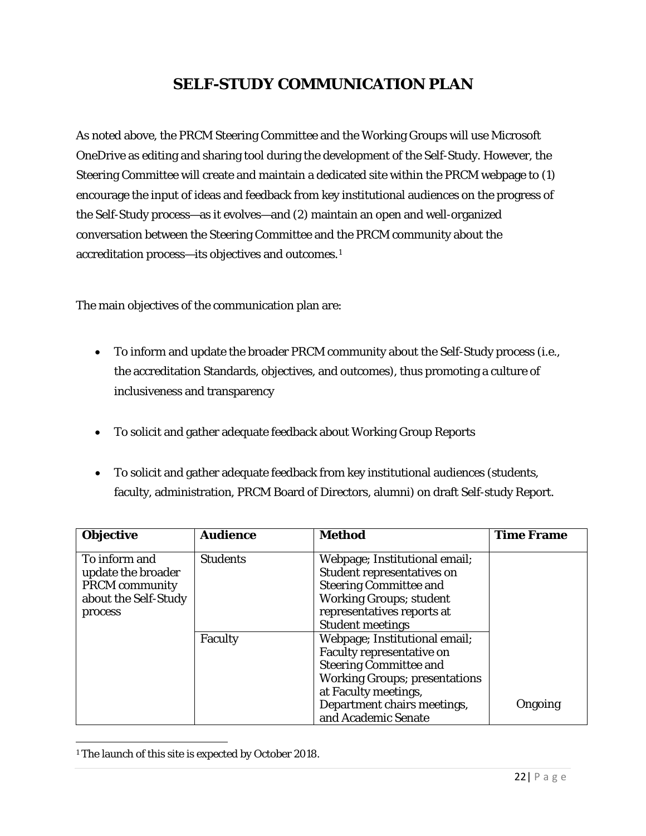## **SELF-STUDY COMMUNICATION PLAN**

As noted above, the PRCM Steering Committee and the Working Groups will use Microsoft OneDrive as editing and sharing tool during the development of the Self-Study. However, the Steering Committee will create and maintain a dedicated site within the PRCM webpage to (1) encourage the input of ideas and feedback from key institutional audiences on the progress of the Self-Study process—as it evolves—and (2) maintain an open and well-organized conversation between the Steering Committee and the PRCM community about the accreditation process—its objectives and outcomes.[1](#page-24-0)

The main objectives of the communication plan are:

- To inform and update the broader PRCM community about the Self-Study process (i.e., the accreditation Standards, objectives, and outcomes), thus promoting a culture of inclusiveness and transparency
- To solicit and gather adequate feedback about Working Group Reports
- To solicit and gather adequate feedback from key institutional audiences (students, faculty, administration, PRCM Board of Directors, alumni) on draft Self-study Report.

| <b>Objective</b>                                                                                | <b>Audience</b> | <b>Method</b>                                                                                                                                                                                                            | <b>Time Frame</b> |
|-------------------------------------------------------------------------------------------------|-----------------|--------------------------------------------------------------------------------------------------------------------------------------------------------------------------------------------------------------------------|-------------------|
| To inform and<br>update the broader<br><b>PRCM</b> community<br>about the Self-Study<br>process | <b>Students</b> | Webpage; Institutional email;<br>Student representatives on<br><b>Steering Committee and</b><br><b>Working Groups; student</b><br>representatives reports at<br><b>Student meetings</b>                                  |                   |
|                                                                                                 | Faculty         | Webpage; Institutional email;<br><b>Faculty representative on</b><br><b>Steering Committee and</b><br><b>Working Groups; presentations</b><br>at Faculty meetings,<br>Department chairs meetings,<br>and Academic Senate | Ongoing           |

<span id="page-24-0"></span><sup>&</sup>lt;sup>1</sup> The launch of this site is expected by October 2018. l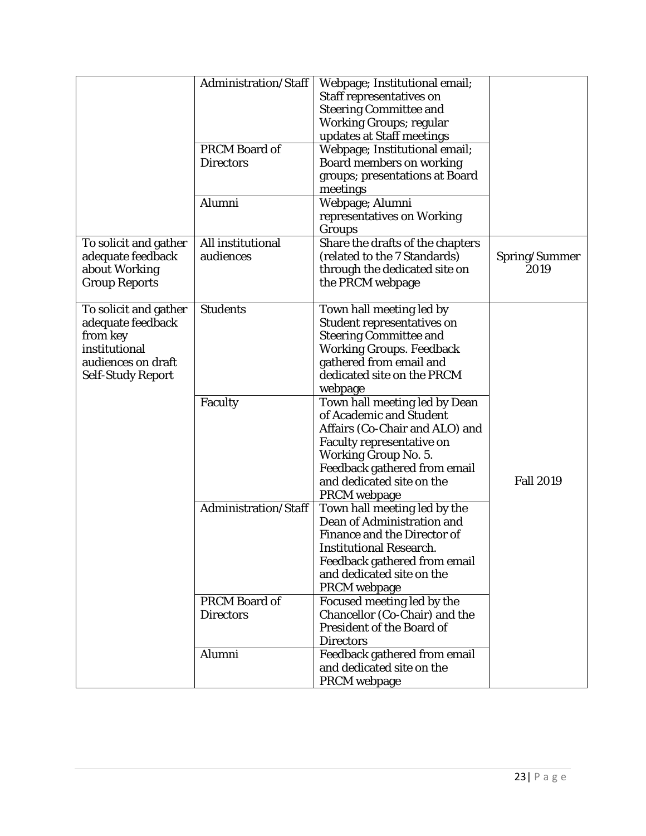|                                                                                                                           | Administration/Staff<br><b>PRCM Board of</b><br><b>Directors</b><br>Alumni | Webpage; Institutional email;<br>Staff representatives on<br><b>Steering Committee and</b><br><b>Working Groups; regular</b><br>updates at Staff meetings<br>Webpage; Institutional email;<br><b>Board members on working</b><br>groups; presentations at Board<br>meetings<br>Webpage; Alumni<br>representatives on Working |                       |
|---------------------------------------------------------------------------------------------------------------------------|----------------------------------------------------------------------------|------------------------------------------------------------------------------------------------------------------------------------------------------------------------------------------------------------------------------------------------------------------------------------------------------------------------------|-----------------------|
|                                                                                                                           |                                                                            | Groups                                                                                                                                                                                                                                                                                                                       |                       |
| To solicit and gather<br>adequate feedback<br>about Working<br><b>Group Reports</b>                                       | All institutional<br>audiences                                             | Share the drafts of the chapters<br>(related to the 7 Standards)<br>through the dedicated site on<br>the PRCM webpage                                                                                                                                                                                                        | Spring/Summer<br>2019 |
| To solicit and gather<br>adequate feedback<br>from key<br>institutional<br>audiences on draft<br><b>Self-Study Report</b> | <b>Students</b>                                                            | Town hall meeting led by<br>Student representatives on<br><b>Steering Committee and</b><br><b>Working Groups. Feedback</b><br>gathered from email and<br>dedicated site on the PRCM<br>webpage                                                                                                                               |                       |
|                                                                                                                           | Faculty                                                                    | Town hall meeting led by Dean<br>of Academic and Student<br>Affairs (Co-Chair and ALO) and<br><b>Faculty representative on</b><br><b>Working Group No. 5.</b><br>Feedback gathered from email<br>and dedicated site on the<br><b>PRCM</b> webpage                                                                            | <b>Fall 2019</b>      |
|                                                                                                                           | Administration/Staff                                                       | Town hall meeting led by the<br>Dean of Administration and<br><b>Finance and the Director of</b><br><b>Institutional Research.</b><br>Feedback gathered from email<br>and dedicated site on the<br>PRCM webpage                                                                                                              |                       |
|                                                                                                                           | PRCM Board of<br><b>Directors</b>                                          | Focused meeting led by the<br>Chancellor (Co-Chair) and the<br>President of the Board of<br><b>Directors</b>                                                                                                                                                                                                                 |                       |
|                                                                                                                           | Alumni                                                                     | Feedback gathered from email<br>and dedicated site on the<br><b>PRCM</b> webpage                                                                                                                                                                                                                                             |                       |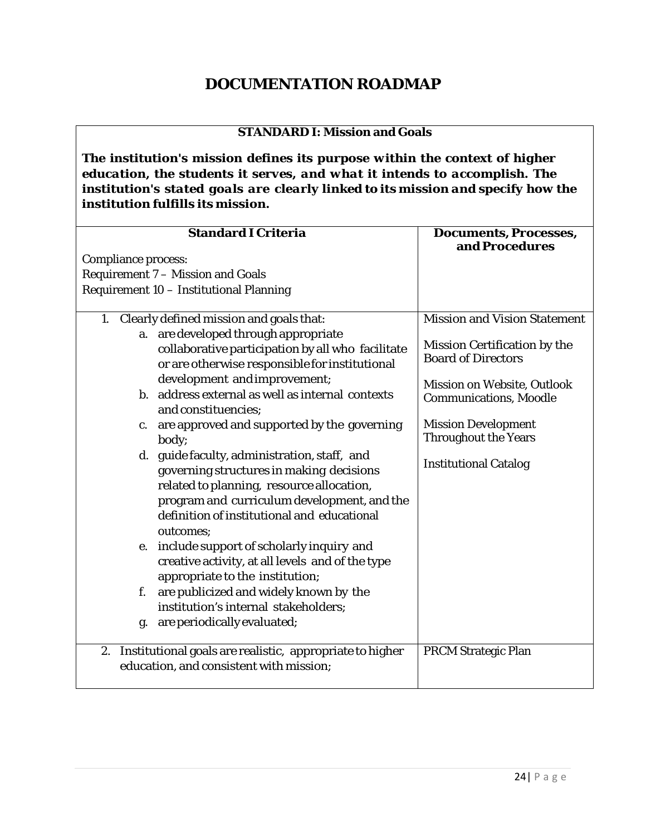## **DOCUMENTATION ROADMAP**

#### **STANDARD I: Mission and Goals**

*The institution's mission defines its purpose within the context of higher education, the students it serves, and what it intends to accomplish. The institution's stated goals are clearly linked to its mission and specify how the institution fulfills its mission.*

| <b>Standard I Criteria</b>                                                                                                                                                                                                                       | <b>Documents, Processes,</b><br>and Procedures               |
|--------------------------------------------------------------------------------------------------------------------------------------------------------------------------------------------------------------------------------------------------|--------------------------------------------------------------|
| <b>Compliance process:</b>                                                                                                                                                                                                                       |                                                              |
| Requirement 7 - Mission and Goals                                                                                                                                                                                                                |                                                              |
| Requirement 10 - Institutional Planning                                                                                                                                                                                                          |                                                              |
|                                                                                                                                                                                                                                                  |                                                              |
| 1. Clearly defined mission and goals that:<br>are developed through appropriate<br>a.                                                                                                                                                            | <b>Mission and Vision Statement</b>                          |
| collaborative participation by all who facilitate<br>or are otherwise responsible for institutional                                                                                                                                              | Mission Certification by the<br><b>Board of Directors</b>    |
| development and improvement;<br>b. address external as well as internal contexts<br>and constituencies;                                                                                                                                          | Mission on Website, Outlook<br><b>Communications, Moodle</b> |
| are approved and supported by the governing<br>$\mathbf{c}$ .<br>body;                                                                                                                                                                           | <b>Mission Development</b><br><b>Throughout the Years</b>    |
| d. guide faculty, administration, staff, and<br>governing structures in making decisions<br>related to planning, resource allocation,<br>program and curriculum development, and the<br>definition of institutional and educational<br>outcomes; | <b>Institutional Catalog</b>                                 |
| include support of scholarly inquiry and<br>e.<br>creative activity, at all levels and of the type<br>appropriate to the institution;                                                                                                            |                                                              |
| are publicized and widely known by the<br>f.<br>institution's internal stakeholders;                                                                                                                                                             |                                                              |
| are periodically evaluated;<br>g.                                                                                                                                                                                                                |                                                              |
| Institutional goals are realistic, appropriate to higher<br>2.<br>education, and consistent with mission;                                                                                                                                        | <b>PRCM Strategic Plan</b>                                   |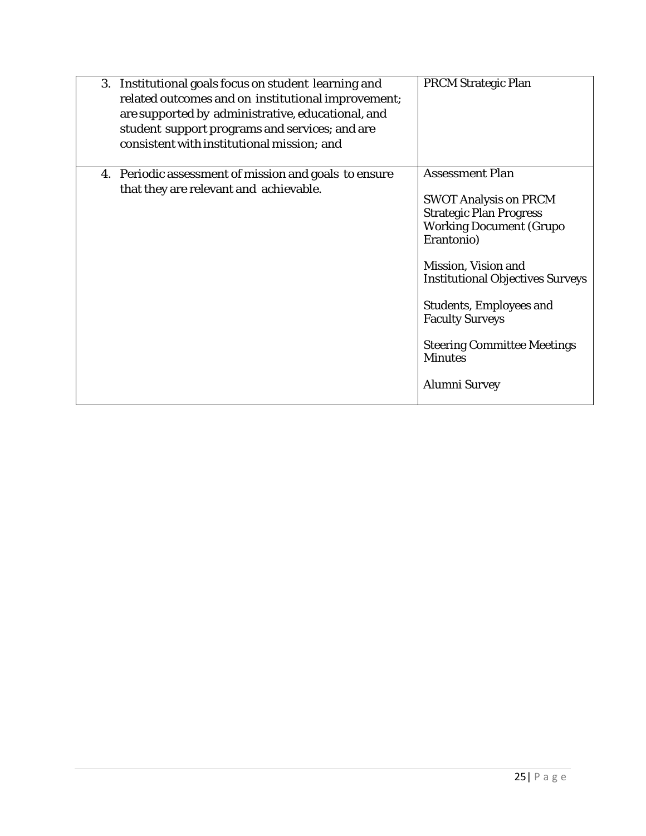| 3. Institutional goals focus on student learning and<br>related outcomes and on institutional improvement;<br>are supported by administrative, educational, and<br>student support programs and services; and are<br>consistent with institutional mission; and | <b>PRCM Strategic Plan</b>                                                                                                                                                                                                                                                                                                                             |
|-----------------------------------------------------------------------------------------------------------------------------------------------------------------------------------------------------------------------------------------------------------------|--------------------------------------------------------------------------------------------------------------------------------------------------------------------------------------------------------------------------------------------------------------------------------------------------------------------------------------------------------|
| 4. Periodic assessment of mission and goals to ensure<br>that they are relevant and achievable.                                                                                                                                                                 | <b>Assessment Plan</b><br><b>SWOT Analysis on PRCM</b><br><b>Strategic Plan Progress</b><br><b>Working Document (Grupo</b><br>Erantonio)<br>Mission, Vision and<br><b>Institutional Objectives Surveys</b><br><b>Students, Employees and</b><br><b>Faculty Surveys</b><br><b>Steering Committee Meetings</b><br><b>Minutes</b><br><b>Alumni Survey</b> |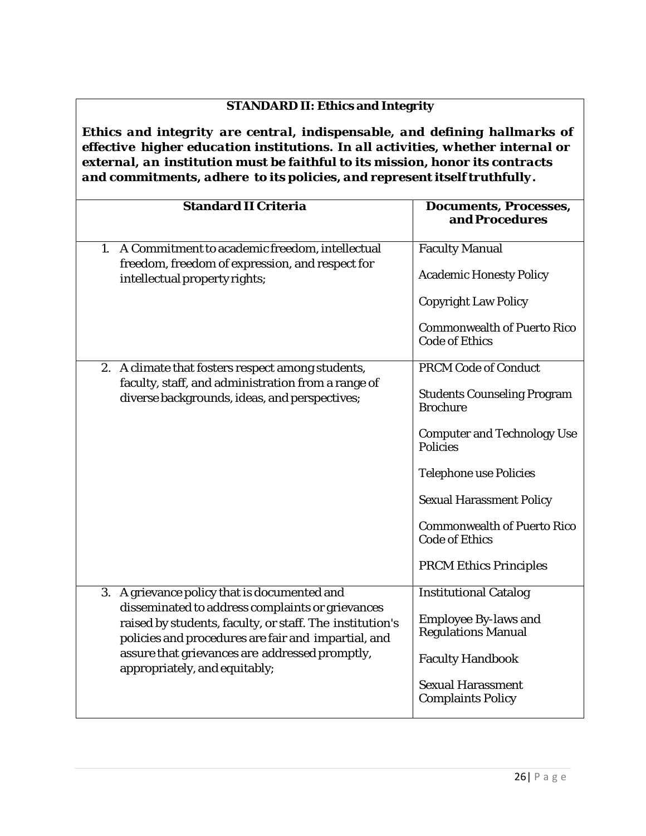## **STANDARD II: Ethics and Integrity**

*Ethics and integrity are central, indispensable, and defining hallmarks of effective higher education institutions. In all activities, whether internal or external, an institution must be faithful to its mission, honor its contracts and commitments, adhere to its policies, and represent itself truthfully.*

| <b>Standard II Criteria</b>                                                                                                                                                                                                                                                                            | <b>Documents, Processes,</b><br>and Procedures                                                                                                                                                                                                                                                                    |
|--------------------------------------------------------------------------------------------------------------------------------------------------------------------------------------------------------------------------------------------------------------------------------------------------------|-------------------------------------------------------------------------------------------------------------------------------------------------------------------------------------------------------------------------------------------------------------------------------------------------------------------|
| A Commitment to academic freedom, intellectual<br>1.<br>freedom, freedom of expression, and respect for<br>intellectual property rights;                                                                                                                                                               | <b>Faculty Manual</b><br><b>Academic Honesty Policy</b>                                                                                                                                                                                                                                                           |
|                                                                                                                                                                                                                                                                                                        | <b>Copyright Law Policy</b><br><b>Commonwealth of Puerto Rico</b><br><b>Code of Ethics</b>                                                                                                                                                                                                                        |
| 2. A climate that fosters respect among students,<br>faculty, staff, and administration from a range of<br>diverse backgrounds, ideas, and perspectives;                                                                                                                                               | <b>PRCM Code of Conduct</b><br><b>Students Counseling Program</b><br><b>Brochure</b><br><b>Computer and Technology Use</b><br><b>Policies</b><br><b>Telephone use Policies</b><br><b>Sexual Harassment Policy</b><br><b>Commonwealth of Puerto Rico</b><br><b>Code of Ethics</b><br><b>PRCM Ethics Principles</b> |
| 3. A grievance policy that is documented and<br>disseminated to address complaints or grievances<br>raised by students, faculty, or staff. The institution's<br>policies and procedures are fair and impartial, and<br>assure that grievances are addressed promptly,<br>appropriately, and equitably; | <b>Institutional Catalog</b><br><b>Employee By-laws and</b><br><b>Regulations Manual</b><br><b>Faculty Handbook</b><br><b>Sexual Harassment</b><br><b>Complaints Policy</b>                                                                                                                                       |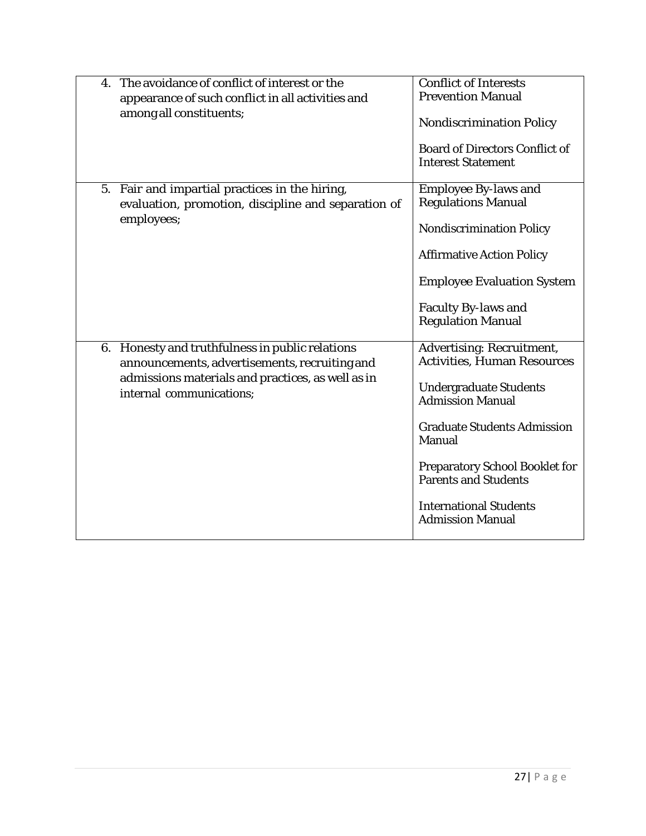| $\mathbf{4}$ . | The avoidance of conflict of interest or the        | <b>Conflict of Interests</b>          |
|----------------|-----------------------------------------------------|---------------------------------------|
|                | appearance of such conflict in all activities and   | <b>Prevention Manual</b>              |
|                |                                                     |                                       |
|                | among all constituents;                             |                                       |
|                |                                                     | <b>Nondiscrimination Policy</b>       |
|                |                                                     |                                       |
|                |                                                     | <b>Board of Directors Conflict of</b> |
|                |                                                     | <b>Interest Statement</b>             |
|                |                                                     |                                       |
|                | 5. Fair and impartial practices in the hiring,      | <b>Employee By-laws and</b>           |
|                |                                                     |                                       |
|                | evaluation, promotion, discipline and separation of | <b>Regulations Manual</b>             |
|                | employees;                                          |                                       |
|                |                                                     | <b>Nondiscrimination Policy</b>       |
|                |                                                     |                                       |
|                |                                                     | <b>Affirmative Action Policy</b>      |
|                |                                                     |                                       |
|                |                                                     | <b>Employee Evaluation System</b>     |
|                |                                                     |                                       |
|                |                                                     | <b>Faculty By-laws and</b>            |
|                |                                                     |                                       |
|                |                                                     | <b>Regulation Manual</b>              |
|                |                                                     |                                       |
|                | 6. Honesty and truthfulness in public relations     | <b>Advertising: Recruitment,</b>      |
|                | announcements, advertisements, recruiting and       | <b>Activities, Human Resources</b>    |
|                | admissions materials and practices, as well as in   |                                       |
|                |                                                     | <b>Undergraduate Students</b>         |
|                | internal communications;                            | <b>Admission Manual</b>               |
|                |                                                     |                                       |
|                |                                                     |                                       |
|                |                                                     | <b>Graduate Students Admission</b>    |
|                |                                                     | <b>Manual</b>                         |
|                |                                                     |                                       |
|                |                                                     | <b>Preparatory School Booklet for</b> |
|                |                                                     | <b>Parents and Students</b>           |
|                |                                                     |                                       |
|                |                                                     | <b>International Students</b>         |
|                |                                                     | <b>Admission Manual</b>               |
|                |                                                     |                                       |
|                |                                                     |                                       |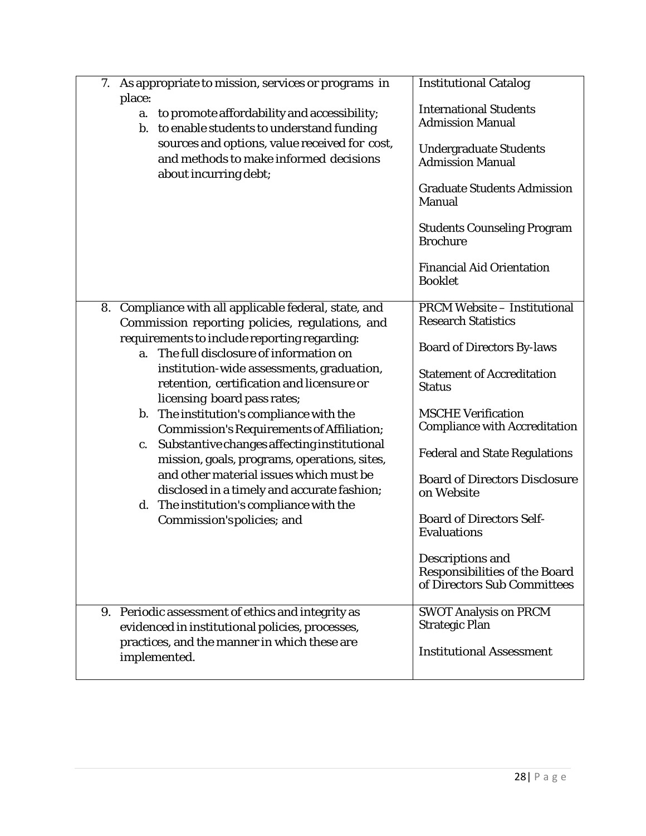| 7.<br>As appropriate to mission, services or programs in<br>place:<br>to promote affordability and accessibility;<br>a.<br>b. to enable students to understand funding<br>sources and options, value received for cost,<br>and methods to make informed decisions<br>about incurring debt;                                                                                                                                                                                                                                                                                                                                                                                                                                                                                | <b>Institutional Catalog</b><br><b>International Students</b><br><b>Admission Manual</b><br><b>Undergraduate Students</b><br><b>Admission Manual</b><br><b>Graduate Students Admission</b><br><b>Manual</b><br><b>Students Counseling Program</b><br><b>Brochure</b><br><b>Financial Aid Orientation</b>                                                                                                                                                                                                                              |
|---------------------------------------------------------------------------------------------------------------------------------------------------------------------------------------------------------------------------------------------------------------------------------------------------------------------------------------------------------------------------------------------------------------------------------------------------------------------------------------------------------------------------------------------------------------------------------------------------------------------------------------------------------------------------------------------------------------------------------------------------------------------------|---------------------------------------------------------------------------------------------------------------------------------------------------------------------------------------------------------------------------------------------------------------------------------------------------------------------------------------------------------------------------------------------------------------------------------------------------------------------------------------------------------------------------------------|
| Compliance with all applicable federal, state, and<br>8.<br>Commission reporting policies, regulations, and<br>requirements to include reporting regarding:<br>The full disclosure of information on<br>a.<br>institution-wide assessments, graduation,<br>retention, certification and licensure or<br>licensing board pass rates;<br>The institution's compliance with the<br>$\mathbf{b}$ .<br>Commission's Requirements of Affiliation;<br>Substantive changes affecting institutional<br>c.<br>mission, goals, programs, operations, sites,<br>and other material issues which must be<br>disclosed in a timely and accurate fashion;<br>d. The institution's compliance with the<br>Commission's policies; and<br>9. Periodic assessment of ethics and integrity as | <b>Booklet</b><br><b>PRCM Website - Institutional</b><br><b>Research Statistics</b><br><b>Board of Directors By-laws</b><br><b>Statement of Accreditation</b><br><b>Status</b><br><b>MSCHE Verification</b><br><b>Compliance with Accreditation</b><br><b>Federal and State Regulations</b><br><b>Board of Directors Disclosure</b><br>on Website<br><b>Board of Directors Self-</b><br><b>Evaluations</b><br>Descriptions and<br><b>Responsibilities of the Board</b><br>of Directors Sub Committees<br><b>SWOT Analysis on PRCM</b> |
| evidenced in institutional policies, processes,<br>practices, and the manner in which these are<br>implemented.                                                                                                                                                                                                                                                                                                                                                                                                                                                                                                                                                                                                                                                           | <b>Strategic Plan</b><br><b>Institutional Assessment</b>                                                                                                                                                                                                                                                                                                                                                                                                                                                                              |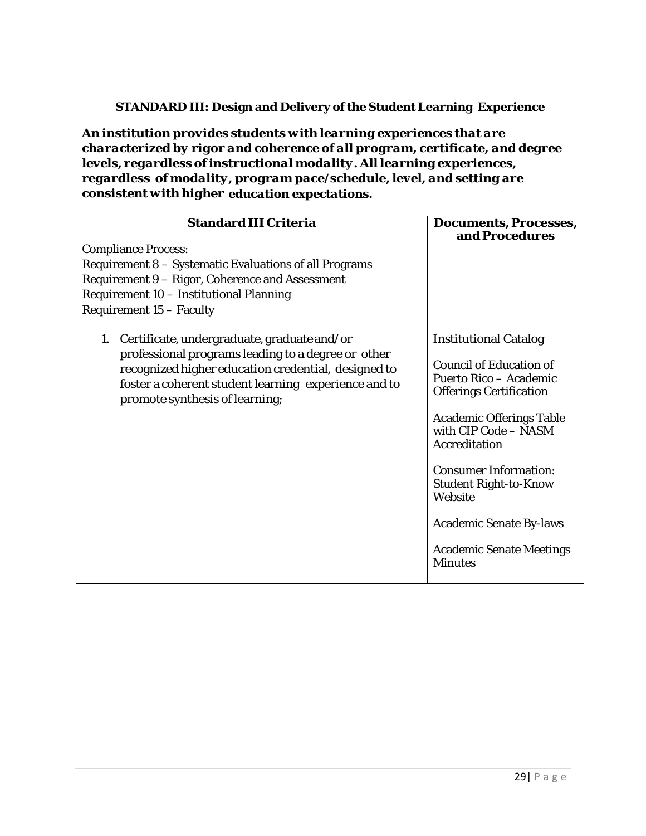## **STANDARD III: Design and Delivery of the Student Learning Experience**

*An institution provides students with learning experiences that are characterized by rigor and coherence of all program, certificate, and degree levels, regardless ofinstructional modality. All learning experiences, regardless of modality, program pace/schedule, level, and setting are consistent with higher education expectations.*

| <b>Standard III Criteria</b><br><b>Compliance Process:</b><br>Requirement 8 - Systematic Evaluations of all Programs<br>Requirement 9 - Rigor, Coherence and Assessment<br>Requirement 10 - Institutional Planning<br>Requirement 15 - Faculty           | <b>Documents, Processes,</b><br>and Procedures                                                                                                                                                                                                                                                                                                                           |
|----------------------------------------------------------------------------------------------------------------------------------------------------------------------------------------------------------------------------------------------------------|--------------------------------------------------------------------------------------------------------------------------------------------------------------------------------------------------------------------------------------------------------------------------------------------------------------------------------------------------------------------------|
| Certificate, undergraduate, graduate and/or<br>1.<br>professional programs leading to a degree or other<br>recognized higher education credential, designed to<br>foster a coherent student learning experience and to<br>promote synthesis of learning; | <b>Institutional Catalog</b><br><b>Council of Education of</b><br>Puerto Rico - Academic<br><b>Offerings Certification</b><br><b>Academic Offerings Table</b><br>with CIP Code - NASM<br>Accreditation<br><b>Consumer Information:</b><br><b>Student Right-to-Know</b><br>Website<br><b>Academic Senate By-laws</b><br><b>Academic Senate Meetings</b><br><b>Minutes</b> |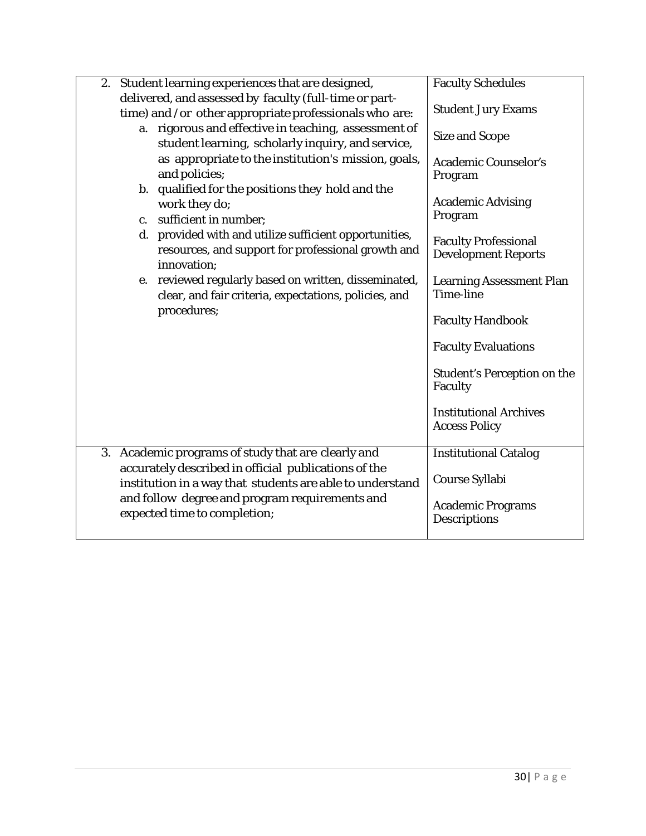| 2. Student learning experiences that are designed,                                                                          | <b>Faculty Schedules</b>                                  |
|-----------------------------------------------------------------------------------------------------------------------------|-----------------------------------------------------------|
| delivered, and assessed by faculty (full-time or part-<br>time) and /or other appropriate professionals who are:            | <b>Student Jury Exams</b>                                 |
| a. rigorous and effective in teaching, assessment of<br>student learning, scholarly inquiry, and service,                   | <b>Size and Scope</b>                                     |
| as appropriate to the institution's mission, goals,<br>and policies;                                                        | <b>Academic Counselor's</b><br>Program                    |
| b. qualified for the positions they hold and the<br>work they do;                                                           | <b>Academic Advising</b><br>Program                       |
| c. sufficient in number;                                                                                                    |                                                           |
| d. provided with and utilize sufficient opportunities,<br>resources, and support for professional growth and<br>innovation; | <b>Faculty Professional</b><br><b>Development Reports</b> |
| e. reviewed regularly based on written, disseminated,<br>clear, and fair criteria, expectations, policies, and              | <b>Learning Assessment Plan</b><br>Time-line              |
| procedures;                                                                                                                 | <b>Faculty Handbook</b>                                   |
|                                                                                                                             | <b>Faculty Evaluations</b>                                |
|                                                                                                                             | <b>Student's Perception on the</b><br>Faculty             |
|                                                                                                                             | <b>Institutional Archives</b><br><b>Access Policy</b>     |
| 3. Academic programs of study that are clearly and                                                                          | <b>Institutional Catalog</b>                              |
| accurately described in official publications of the<br>institution in a way that students are able to understand           | Course Syllabi                                            |
| and follow degree and program requirements and<br>expected time to completion;                                              | <b>Academic Programs</b><br>Descriptions                  |
|                                                                                                                             |                                                           |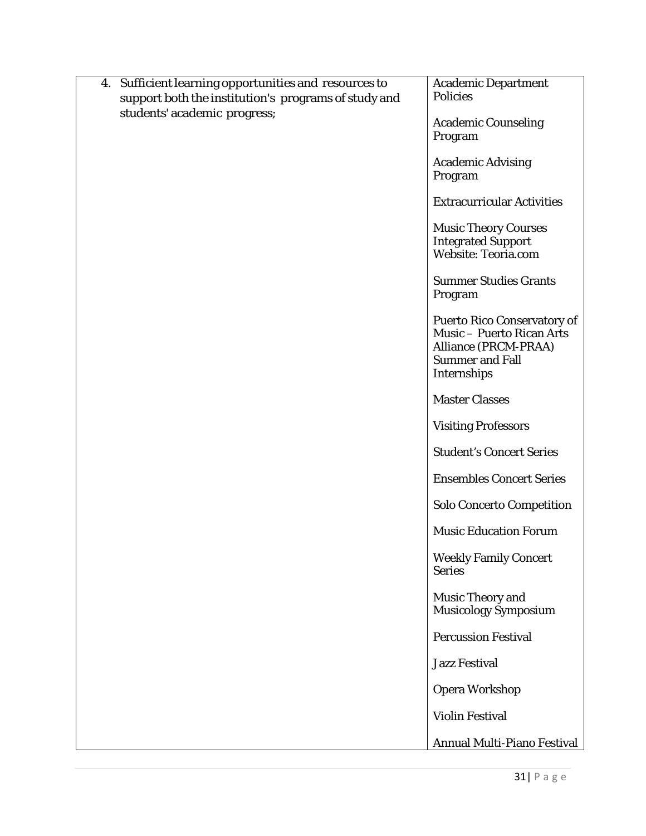| Sufficient learning opportunities and resources to<br>4. | <b>Academic Department</b><br><b>Policies</b>                                                                                           |
|----------------------------------------------------------|-----------------------------------------------------------------------------------------------------------------------------------------|
| support both the institution's programs of study and     |                                                                                                                                         |
| students' academic progress;                             | <b>Academic Counseling</b><br>Program                                                                                                   |
|                                                          | <b>Academic Advising</b><br>Program                                                                                                     |
|                                                          | <b>Extracurricular Activities</b>                                                                                                       |
|                                                          | <b>Music Theory Courses</b><br><b>Integrated Support</b><br><b>Website: Teoria.com</b>                                                  |
|                                                          | <b>Summer Studies Grants</b><br>Program                                                                                                 |
|                                                          | <b>Puerto Rico Conservatory of</b><br><b>Music - Puerto Rican Arts</b><br>Alliance (PRCM-PRAA)<br><b>Summer and Fall</b><br>Internships |
|                                                          | <b>Master Classes</b>                                                                                                                   |
|                                                          | <b>Visiting Professors</b>                                                                                                              |
|                                                          | <b>Student's Concert Series</b>                                                                                                         |
|                                                          | <b>Ensembles Concert Series</b>                                                                                                         |
|                                                          | <b>Solo Concerto Competition</b>                                                                                                        |
|                                                          | <b>Music Education Forum</b>                                                                                                            |
|                                                          | <b>Weekly Family Concert</b><br><b>Series</b>                                                                                           |
|                                                          | <b>Music Theory and</b><br>Musicology Symposium                                                                                         |
|                                                          | <b>Percussion Festival</b>                                                                                                              |
|                                                          | <b>Jazz Festival</b>                                                                                                                    |
|                                                          | <b>Opera Workshop</b>                                                                                                                   |
|                                                          | <b>Violin Festival</b>                                                                                                                  |
|                                                          | Annual Multi-Piano Festival                                                                                                             |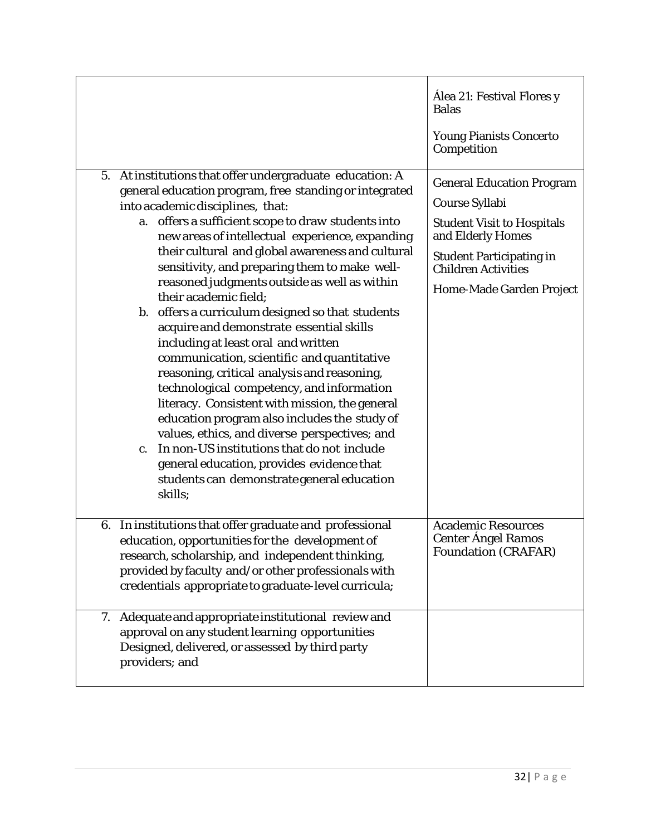|                                                                                                                                                                                                                                                                                                                                                                                                                                                                                                                                                                                                                                                                                                                                                                                                                                                                                                                                                                                                                                                            | Alea 21: Festival Flores y<br><b>Balas</b><br><b>Young Pianists Concerto</b><br>Competition                                                                                                               |
|------------------------------------------------------------------------------------------------------------------------------------------------------------------------------------------------------------------------------------------------------------------------------------------------------------------------------------------------------------------------------------------------------------------------------------------------------------------------------------------------------------------------------------------------------------------------------------------------------------------------------------------------------------------------------------------------------------------------------------------------------------------------------------------------------------------------------------------------------------------------------------------------------------------------------------------------------------------------------------------------------------------------------------------------------------|-----------------------------------------------------------------------------------------------------------------------------------------------------------------------------------------------------------|
| At institutions that offer undergraduate education: A<br>5.<br>general education program, free standing or integrated<br>into academic disciplines, that:<br>a. offers a sufficient scope to draw students into<br>new areas of intellectual experience, expanding<br>their cultural and global awareness and cultural<br>sensitivity, and preparing them to make well-<br>reasoned judgments outside as well as within<br>their academic field;<br>b. offers a curriculum designed so that students<br>acquire and demonstrate essential skills<br>including at least oral and written<br>communication, scientific and quantitative<br>reasoning, critical analysis and reasoning,<br>technological competency, and information<br>literacy. Consistent with mission, the general<br>education program also includes the study of<br>values, ethics, and diverse perspectives; and<br>In non-US institutions that do not include<br>$\mathbf{c}$ .<br>general education, provides evidence that<br>students can demonstrate general education<br>skills; | <b>General Education Program</b><br>Course Syllabi<br><b>Student Visit to Hospitals</b><br>and Elderly Homes<br><b>Student Participating in</b><br><b>Children Activities</b><br>Home-Made Garden Project |
| 6. In institutions that offer graduate and professional<br>education, opportunities for the development of<br>research, scholarship, and independent thinking,<br>provided by faculty and/or other professionals with<br>credentials appropriate to graduate-level curricula;                                                                                                                                                                                                                                                                                                                                                                                                                                                                                                                                                                                                                                                                                                                                                                              | <b>Academic Resources</b><br><b>Center Ángel Ramos</b><br>Foundation (CRAFAR)                                                                                                                             |
| Adequate and appropriate institutional review and<br>7.<br>approval on any student learning opportunities<br>Designed, delivered, or assessed by third party<br>providers; and                                                                                                                                                                                                                                                                                                                                                                                                                                                                                                                                                                                                                                                                                                                                                                                                                                                                             |                                                                                                                                                                                                           |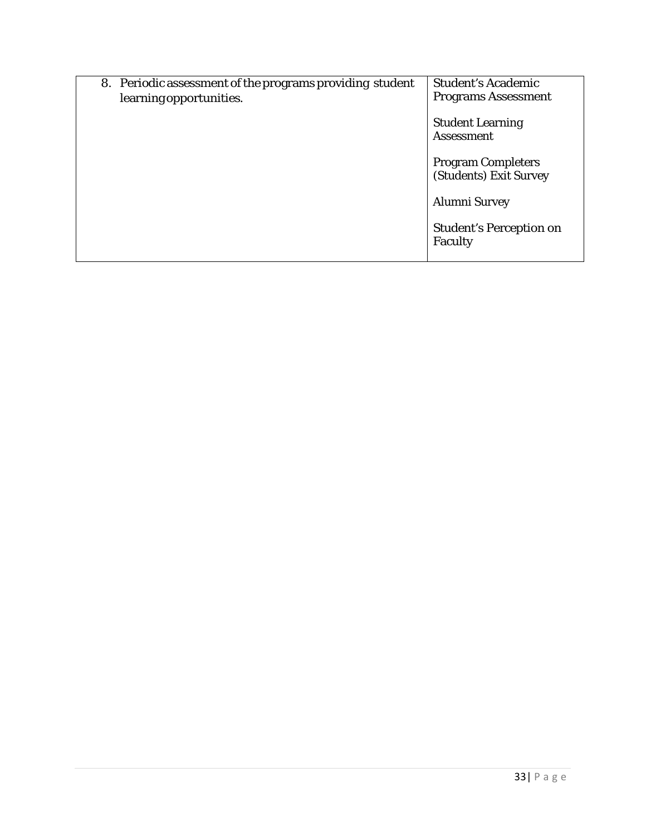| 8. Periodic assessment of the programs providing student<br>learning opportunities. | <b>Student's Academic</b><br><b>Programs Assessment</b> |
|-------------------------------------------------------------------------------------|---------------------------------------------------------|
|                                                                                     | <b>Student Learning</b><br><b>Assessment</b>            |
|                                                                                     | <b>Program Completers</b><br>(Students) Exit Survey     |
|                                                                                     | Alumni Survey                                           |
|                                                                                     | <b>Student's Perception on</b><br>Faculty               |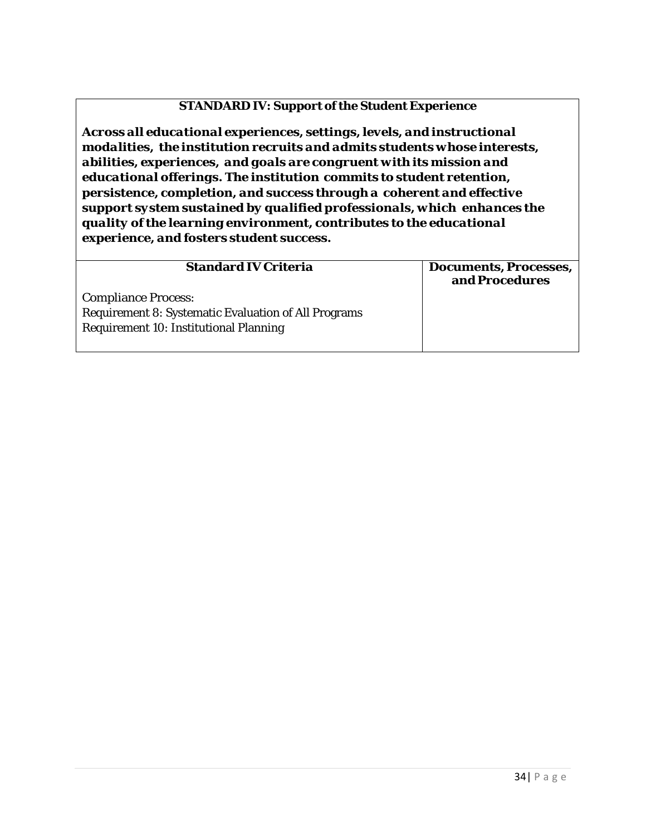#### **STANDARD IV: Support ofthe Student Experience**

*Across all educational experiences, settings,levels, and instructional modalities, the institution recruits and admits students whose interests, abilities, experiences, and goals are congruent with its mission and educational offerings. The institution commits to student retention, persistence, completion, and success through a coherent and effective support system sustained by qualified professionals, which enhances the quality of the learning environment, contributes to the educational experience, and fosters student success.*

|                                                             | <b>Documents, Processes,</b><br>and Procedures |
|-------------------------------------------------------------|------------------------------------------------|
| <b>Compliance Process:</b>                                  |                                                |
| <b>Requirement 8: Systematic Evaluation of All Programs</b> |                                                |
| <b>Requirement 10: Institutional Planning</b>               |                                                |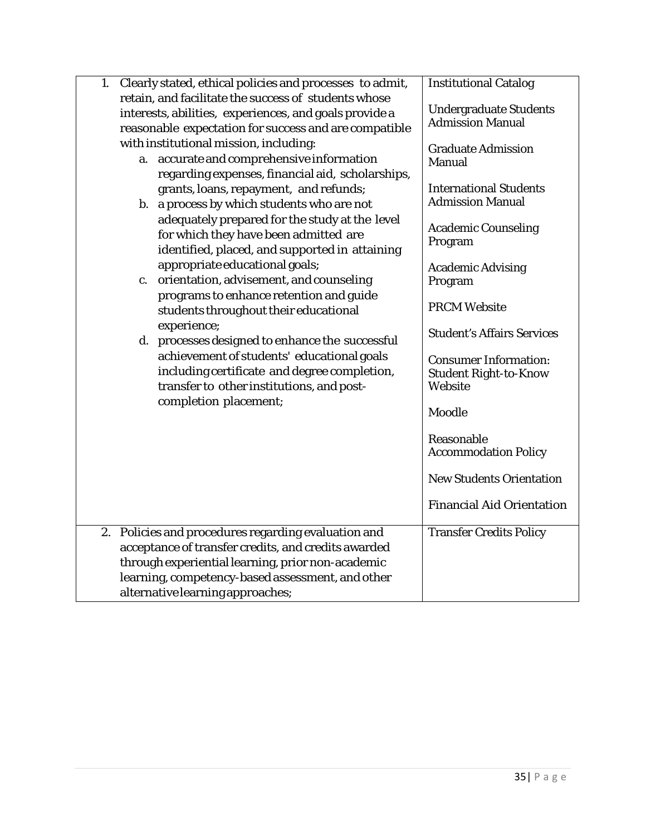| 1. Clearly stated, ethical policies and processes to admit,<br>retain, and facilitate the success of students whose<br>interests, abilities, experiences, and goals provide a<br>reasonable expectation for success and are compatible<br>with institutional mission, including:<br>a. accurate and comprehensive information<br>regarding expenses, financial aid, scholarships,<br>grants, loans, repayment, and refunds;<br>b. a process by which students who are not<br>adequately prepared for the study at the level<br>for which they have been admitted are<br>identified, placed, and supported in attaining<br>appropriate educational goals;<br>orientation, advisement, and counseling<br>c.<br>programs to enhance retention and guide<br>students throughout their educational<br>experience;<br>d. processes designed to enhance the successful<br>achievement of students' educational goals<br>including certificate and degree completion,<br>transfer to other institutions, and post-<br>completion placement; | <b>Institutional Catalog</b><br><b>Undergraduate Students</b><br><b>Admission Manual</b><br><b>Graduate Admission</b><br>Manual<br><b>International Students</b><br><b>Admission Manual</b><br><b>Academic Counseling</b><br>Program<br><b>Academic Advising</b><br>Program<br><b>PRCM Website</b><br><b>Student's Affairs Services</b><br><b>Consumer Information:</b><br><b>Student Right-to-Know</b><br>Website<br>Moodle<br>Reasonable<br><b>Accommodation Policy</b><br><b>New Students Orientation</b><br><b>Financial Aid Orientation</b> |
|-------------------------------------------------------------------------------------------------------------------------------------------------------------------------------------------------------------------------------------------------------------------------------------------------------------------------------------------------------------------------------------------------------------------------------------------------------------------------------------------------------------------------------------------------------------------------------------------------------------------------------------------------------------------------------------------------------------------------------------------------------------------------------------------------------------------------------------------------------------------------------------------------------------------------------------------------------------------------------------------------------------------------------------|--------------------------------------------------------------------------------------------------------------------------------------------------------------------------------------------------------------------------------------------------------------------------------------------------------------------------------------------------------------------------------------------------------------------------------------------------------------------------------------------------------------------------------------------------|
| 2. Policies and procedures regarding evaluation and<br>acceptance of transfer credits, and credits awarded<br>through experiential learning, prior non-academic<br>learning, competency-based assessment, and other                                                                                                                                                                                                                                                                                                                                                                                                                                                                                                                                                                                                                                                                                                                                                                                                                 | <b>Transfer Credits Policy</b>                                                                                                                                                                                                                                                                                                                                                                                                                                                                                                                   |
| alternative learning approaches;                                                                                                                                                                                                                                                                                                                                                                                                                                                                                                                                                                                                                                                                                                                                                                                                                                                                                                                                                                                                    |                                                                                                                                                                                                                                                                                                                                                                                                                                                                                                                                                  |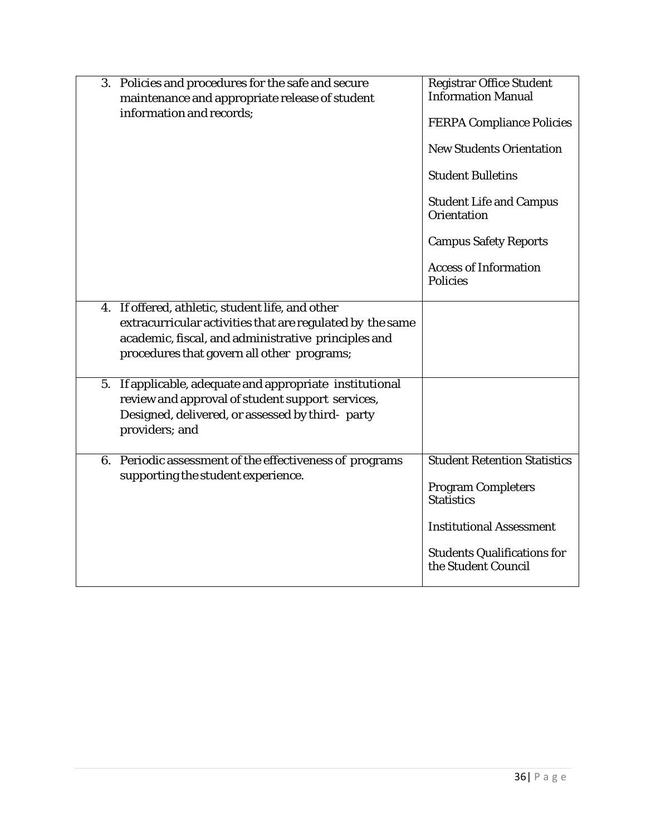|    | 3. Policies and procedures for the safe and secure<br>maintenance and appropriate release of student<br>information and records;                                                                                   | <b>Registrar Office Student</b><br><b>Information Manual</b><br><b>FERPA Compliance Policies</b><br><b>New Students Orientation</b><br><b>Student Bulletins</b><br><b>Student Life and Campus</b><br><b>Orientation</b><br><b>Campus Safety Reports</b><br><b>Access of Information</b><br><b>Policies</b> |
|----|--------------------------------------------------------------------------------------------------------------------------------------------------------------------------------------------------------------------|------------------------------------------------------------------------------------------------------------------------------------------------------------------------------------------------------------------------------------------------------------------------------------------------------------|
|    | 4. If offered, athletic, student life, and other<br>extracurricular activities that are regulated by the same<br>academic, fiscal, and administrative principles and<br>procedures that govern all other programs; |                                                                                                                                                                                                                                                                                                            |
| 5. | If applicable, adequate and appropriate institutional<br>review and approval of student support services,<br>Designed, delivered, or assessed by third- party<br>providers; and                                    |                                                                                                                                                                                                                                                                                                            |
|    | 6. Periodic assessment of the effectiveness of programs<br>supporting the student experience.                                                                                                                      | <b>Student Retention Statistics</b><br><b>Program Completers</b><br><b>Statistics</b><br><b>Institutional Assessment</b><br><b>Students Qualifications for</b><br>the Student Council                                                                                                                      |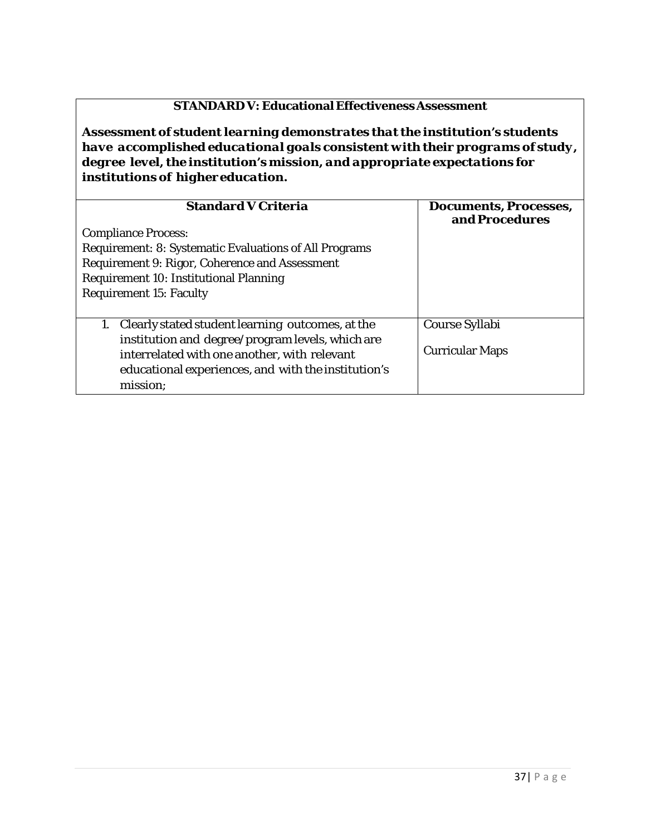## **STANDARD V: Educational EffectivenessAssessment**

*Assessment of student learning demonstrates that the institution's students have accomplished educational goals consistent with their programs of study, degree level, the institution's mission, and appropriate expectations for institutions of highereducation.*

| <b>Standard V Criteria</b>                                    | <b>Documents, Processes,</b><br>and Procedures |
|---------------------------------------------------------------|------------------------------------------------|
| <b>Compliance Process:</b>                                    |                                                |
| <b>Requirement: 8: Systematic Evaluations of All Programs</b> |                                                |
| Requirement 9: Rigor, Coherence and Assessment                |                                                |
| Requirement 10: Institutional Planning                        |                                                |
| <b>Requirement 15: Faculty</b>                                |                                                |
|                                                               |                                                |
| Clearly stated student learning outcomes, at the              | Course Syllabi                                 |
| institution and degree/program levels, which are              |                                                |
| interrelated with one another, with relevant                  | <b>Curricular Maps</b>                         |
| educational experiences, and with the institution's           |                                                |
| mission;                                                      |                                                |
|                                                               |                                                |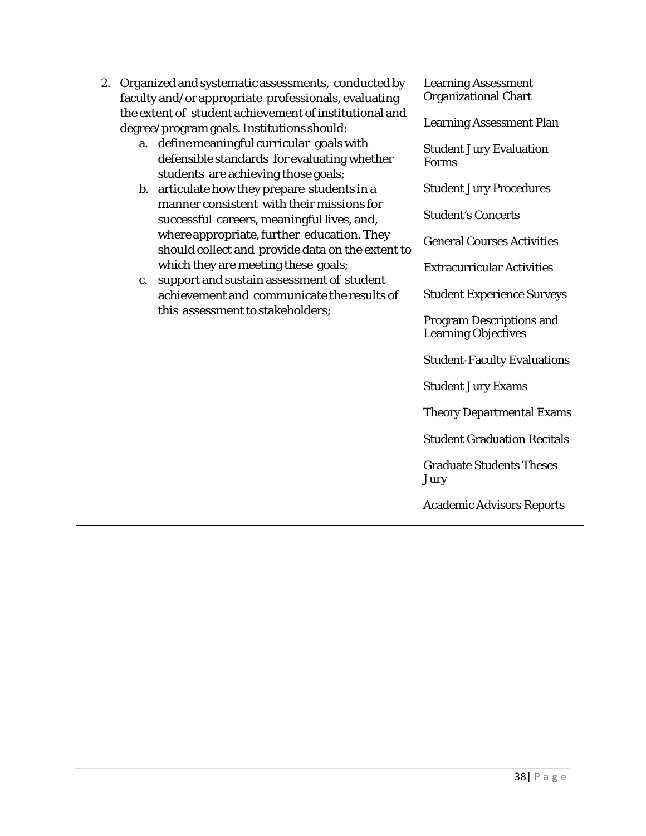| 2. |    | Organized and systematic assessments, conducted by                                                                                                                            | <b>Learning Assessment</b>                                                |
|----|----|-------------------------------------------------------------------------------------------------------------------------------------------------------------------------------|---------------------------------------------------------------------------|
|    |    | faculty and/or appropriate professionals, evaluating                                                                                                                          | <b>Organizational Chart</b>                                               |
|    |    | the extent of student achievement of institutional and<br>degree/program goals. Institutions should:                                                                          | <b>Learning Assessment Plan</b>                                           |
|    | a. | define meaningful curricular goals with<br>defensible standards for evaluating whether<br>students are achieving those goals;<br>b. articulate how they prepare students in a | <b>Student Jury Evaluation</b><br>Forms<br><b>Student Jury Procedures</b> |
|    |    | manner consistent with their missions for<br>successful careers, meaningful lives, and,                                                                                       | <b>Student's Concerts</b>                                                 |
|    |    | where appropriate, further education. They<br>should collect and provide data on the extent to                                                                                | <b>General Courses Activities</b>                                         |
|    |    | which they are meeting these goals;                                                                                                                                           | <b>Extracurricular Activities</b>                                         |
|    | c. | support and sustain assessment of student<br>achievement and communicate the results of<br>this assessment to stakeholders;                                                   | <b>Student Experience Surveys</b><br><b>Program Descriptions and</b>      |
|    |    |                                                                                                                                                                               | <b>Learning Objectives</b>                                                |
|    |    |                                                                                                                                                                               | <b>Student-Faculty Evaluations</b>                                        |
|    |    |                                                                                                                                                                               | <b>Student Jury Exams</b>                                                 |
|    |    |                                                                                                                                                                               | <b>Theory Departmental Exams</b>                                          |
|    |    |                                                                                                                                                                               | <b>Student Graduation Recitals</b>                                        |
|    |    |                                                                                                                                                                               | <b>Graduate Students Theses</b><br>Jury                                   |
|    |    |                                                                                                                                                                               | <b>Academic Advisors Reports</b>                                          |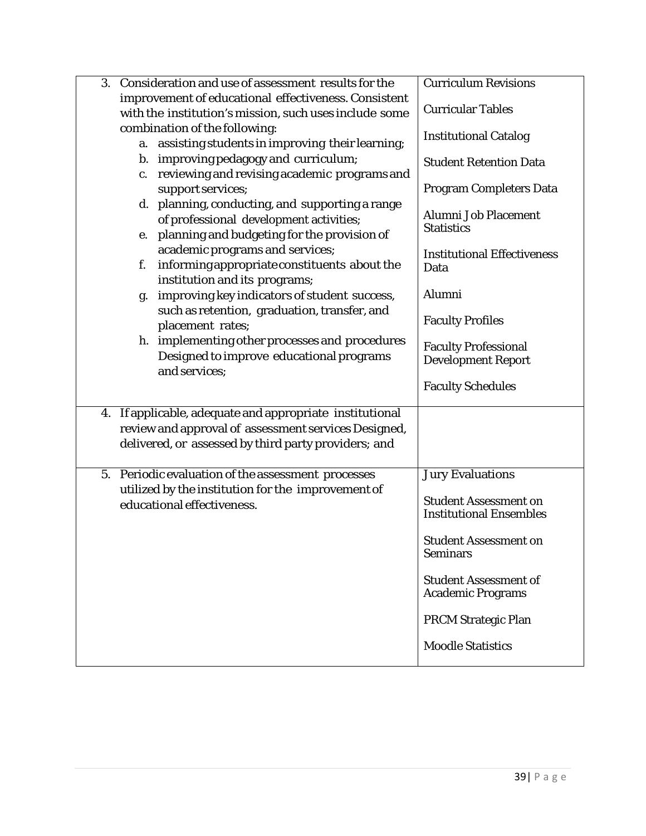| 3. | Consideration and use of assessment results for the                                                                                                                   | <b>Curriculum Revisions</b>                                    |
|----|-----------------------------------------------------------------------------------------------------------------------------------------------------------------------|----------------------------------------------------------------|
|    | improvement of educational effectiveness. Consistent<br>with the institution's mission, such uses include some                                                        | <b>Curricular Tables</b>                                       |
|    | combination of the following:<br>a. assisting students in improving their learning;                                                                                   | <b>Institutional Catalog</b>                                   |
|    | b. improving pedagogy and curriculum;<br>reviewing and revising academic programs and<br>c.                                                                           | <b>Student Retention Data</b>                                  |
|    | support services;                                                                                                                                                     | <b>Program Completers Data</b>                                 |
|    | d. planning, conducting, and supporting a range<br>of professional development activities;<br>planning and budgeting for the provision of<br>e.                       | <b>Alumni Job Placement</b><br><b>Statistics</b>               |
|    | academic programs and services;<br>informing appropriate constituents about the<br>f.<br>institution and its programs;                                                | <b>Institutional Effectiveness</b><br>Data                     |
|    | improving key indicators of student success,<br>g.                                                                                                                    | Alumni                                                         |
|    | such as retention, graduation, transfer, and<br>placement rates;                                                                                                      | <b>Faculty Profiles</b>                                        |
|    | h. implementing other processes and procedures<br>Designed to improve educational programs                                                                            | <b>Faculty Professional</b><br><b>Development Report</b>       |
|    | and services;                                                                                                                                                         | <b>Faculty Schedules</b>                                       |
| 4. | If applicable, adequate and appropriate institutional<br>review and approval of assessment services Designed,<br>delivered, or assessed by third party providers; and |                                                                |
| 5. | Periodic evaluation of the assessment processes                                                                                                                       | <b>Jury Evaluations</b>                                        |
|    | utilized by the institution for the improvement of<br>educational effectiveness.                                                                                      | <b>Student Assessment on</b><br><b>Institutional Ensembles</b> |
|    |                                                                                                                                                                       | <b>Student Assessment on</b><br><b>Seminars</b>                |
|    |                                                                                                                                                                       | <b>Student Assessment of</b><br><b>Academic Programs</b>       |
|    |                                                                                                                                                                       | <b>PRCM Strategic Plan</b>                                     |
|    |                                                                                                                                                                       | <b>Moodle Statistics</b>                                       |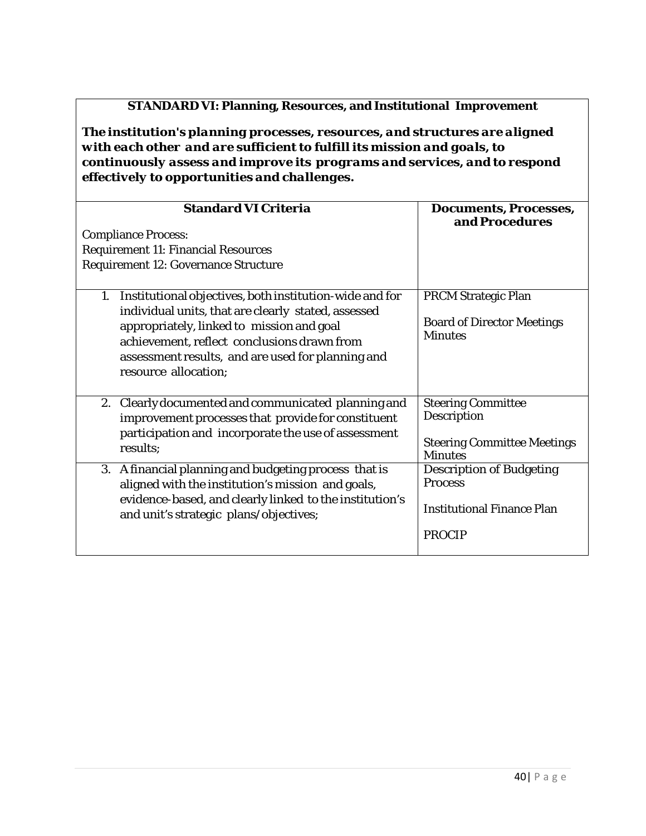#### **STANDARD VI: Planning, Resources, and Institutional Improvement**

*The institution's planning processes, resources, and structures are aligned with each other and are sufficient to fulfill its mission and goals, to continuously assess and improve its programs and services, and to respond effectively to opportunities and challenges.*

| <b>Standard VI Criteria</b>                                                                                          | <b>Documents, Processes,</b>                         |  |
|----------------------------------------------------------------------------------------------------------------------|------------------------------------------------------|--|
|                                                                                                                      | and Procedures                                       |  |
| <b>Compliance Process:</b>                                                                                           |                                                      |  |
| <b>Requirement 11: Financial Resources</b>                                                                           |                                                      |  |
| <b>Requirement 12: Governance Structure</b>                                                                          |                                                      |  |
|                                                                                                                      |                                                      |  |
| Institutional objectives, both institution-wide and for<br>1.<br>individual units, that are clearly stated, assessed | <b>PRCM Strategic Plan</b>                           |  |
| appropriately, linked to mission and goal<br>achievement, reflect conclusions drawn from                             | <b>Board of Director Meetings</b><br><b>Minutes</b>  |  |
| assessment results, and are used for planning and                                                                    |                                                      |  |
| resource allocation;                                                                                                 |                                                      |  |
|                                                                                                                      |                                                      |  |
| 2. Clearly documented and communicated planning and                                                                  | <b>Steering Committee</b>                            |  |
| improvement processes that provide for constituent                                                                   | Description                                          |  |
| participation and incorporate the use of assessment<br>results;                                                      | <b>Steering Committee Meetings</b><br><b>Minutes</b> |  |
| 3. A financial planning and budgeting process that is                                                                | <b>Description of Budgeting</b>                      |  |
| aligned with the institution's mission and goals,                                                                    | <b>Process</b>                                       |  |
| evidence-based, and clearly linked to the institution's<br>and unit's strategic plans/objectives;                    | <b>Institutional Finance Plan</b>                    |  |
|                                                                                                                      | <b>PROCIP</b>                                        |  |
|                                                                                                                      |                                                      |  |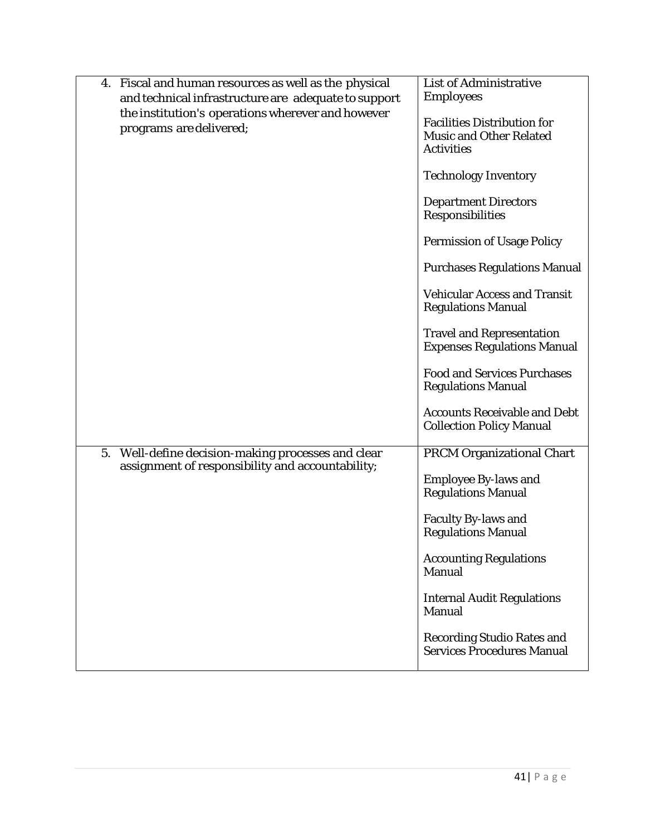|    | 4. Fiscal and human resources as well as the physical<br>and technical infrastructure are adequate to support<br>the institution's operations wherever and however<br>programs are delivered; | <b>List of Administrative</b><br><b>Employees</b><br><b>Facilities Distribution for</b><br>Music and Other Related<br><b>Activities</b> |
|----|-----------------------------------------------------------------------------------------------------------------------------------------------------------------------------------------------|-----------------------------------------------------------------------------------------------------------------------------------------|
|    |                                                                                                                                                                                               | <b>Technology Inventory</b><br><b>Department Directors</b>                                                                              |
|    |                                                                                                                                                                                               | Responsibilities<br><b>Permission of Usage Policy</b>                                                                                   |
|    |                                                                                                                                                                                               | <b>Purchases Regulations Manual</b>                                                                                                     |
|    |                                                                                                                                                                                               | <b>Vehicular Access and Transit</b><br><b>Regulations Manual</b>                                                                        |
|    |                                                                                                                                                                                               | <b>Travel and Representation</b><br><b>Expenses Regulations Manual</b>                                                                  |
|    |                                                                                                                                                                                               | <b>Food and Services Purchases</b><br><b>Regulations Manual</b>                                                                         |
|    |                                                                                                                                                                                               | <b>Accounts Receivable and Debt</b><br><b>Collection Policy Manual</b>                                                                  |
| 5. | Well-define decision-making processes and clear<br>assignment of responsibility and accountability;                                                                                           | <b>PRCM Organizational Chart</b>                                                                                                        |
|    |                                                                                                                                                                                               | <b>Employee By-laws and</b><br><b>Regulations Manual</b>                                                                                |
|    |                                                                                                                                                                                               | <b>Faculty By-laws and</b><br><b>Regulations Manual</b>                                                                                 |
|    |                                                                                                                                                                                               | <b>Accounting Regulations</b><br>Manual                                                                                                 |
|    |                                                                                                                                                                                               | <b>Internal Audit Regulations</b><br>Manual                                                                                             |
|    |                                                                                                                                                                                               | <b>Recording Studio Rates and</b><br><b>Services Procedures Manual</b>                                                                  |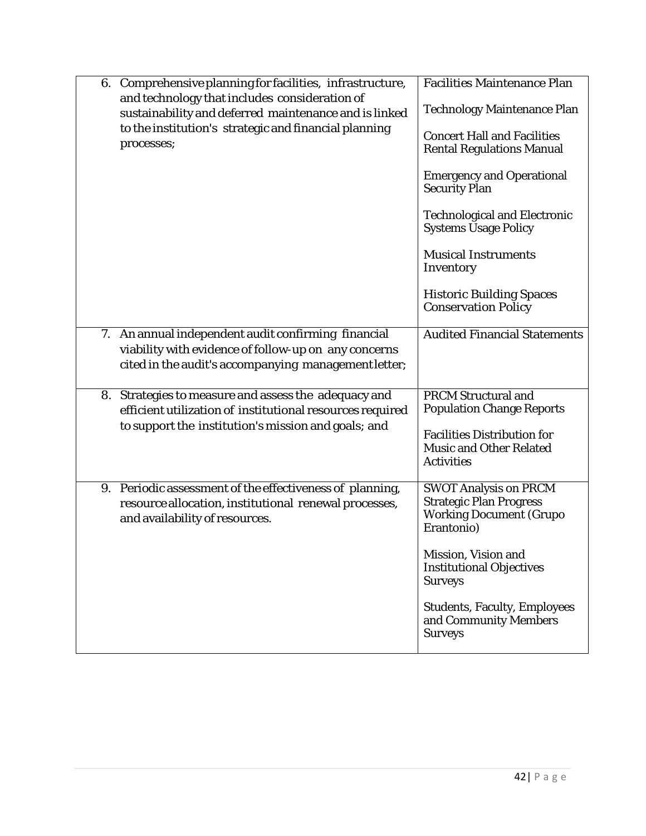| 6. Comprehensive planning for facilities, infrastructure,<br>and technology that includes consideration of<br>sustainability and deferred maintenance and is linked<br>to the institution's strategic and financial planning<br>processes; | <b>Facilities Maintenance Plan</b><br><b>Technology Maintenance Plan</b><br><b>Concert Hall and Facilities</b><br><b>Rental Regulations Manual</b><br><b>Emergency and Operational</b><br><b>Security Plan</b><br><b>Technological and Electronic</b><br><b>Systems Usage Policy</b><br><b>Musical Instruments</b><br>Inventory<br><b>Historic Building Spaces</b><br><b>Conservation Policy</b> |
|--------------------------------------------------------------------------------------------------------------------------------------------------------------------------------------------------------------------------------------------|--------------------------------------------------------------------------------------------------------------------------------------------------------------------------------------------------------------------------------------------------------------------------------------------------------------------------------------------------------------------------------------------------|
| 7. An annual independent audit confirming financial<br>viability with evidence of follow-up on any concerns<br>cited in the audit's accompanying management letter;                                                                        | <b>Audited Financial Statements</b>                                                                                                                                                                                                                                                                                                                                                              |
| 8. Strategies to measure and assess the adequacy and<br>efficient utilization of institutional resources required<br>to support the institution's mission and goals; and                                                                   | <b>PRCM Structural and</b><br><b>Population Change Reports</b><br><b>Facilities Distribution for</b><br><b>Music and Other Related</b><br><b>Activities</b>                                                                                                                                                                                                                                      |
| 9. Periodic assessment of the effectiveness of planning,<br>resource allocation, institutional renewal processes,<br>and availability of resources.                                                                                        | <b>SWOT Analysis on PRCM</b><br><b>Strategic Plan Progress</b><br><b>Working Document (Grupo</b><br>Erantonio)<br>Mission, Vision and                                                                                                                                                                                                                                                            |
|                                                                                                                                                                                                                                            | <b>Institutional Objectives</b><br><b>Surveys</b><br><b>Students, Faculty, Employees</b><br>and Community Members<br><b>Surveys</b>                                                                                                                                                                                                                                                              |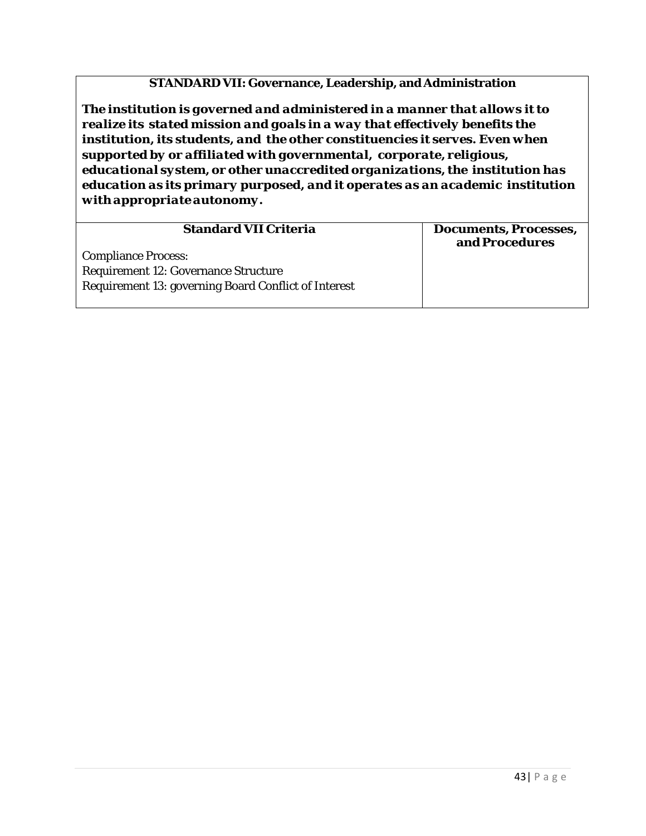#### **STANDARD VII: Governance, Leadership, and Administration**

*The institution is governed and administered in a manner that allows it to realize its stated mission and goals in a way that effectively benefits the institution, its students, and the other constituencies it serves. Even when supported by or affiliated with governmental, corporate, religious, educational system, or other unaccredited organizations, the institution has education as its primary purposed, and it operates as an academic institution with appropriateautonomy.*

| <b>Standard VII Criteria</b>                                | <b>Documents, Processes,</b><br>and Procedures |
|-------------------------------------------------------------|------------------------------------------------|
| <b>Compliance Process:</b>                                  |                                                |
| <b>Requirement 12: Governance Structure</b>                 |                                                |
| <b>Requirement 13: governing Board Conflict of Interest</b> |                                                |
|                                                             |                                                |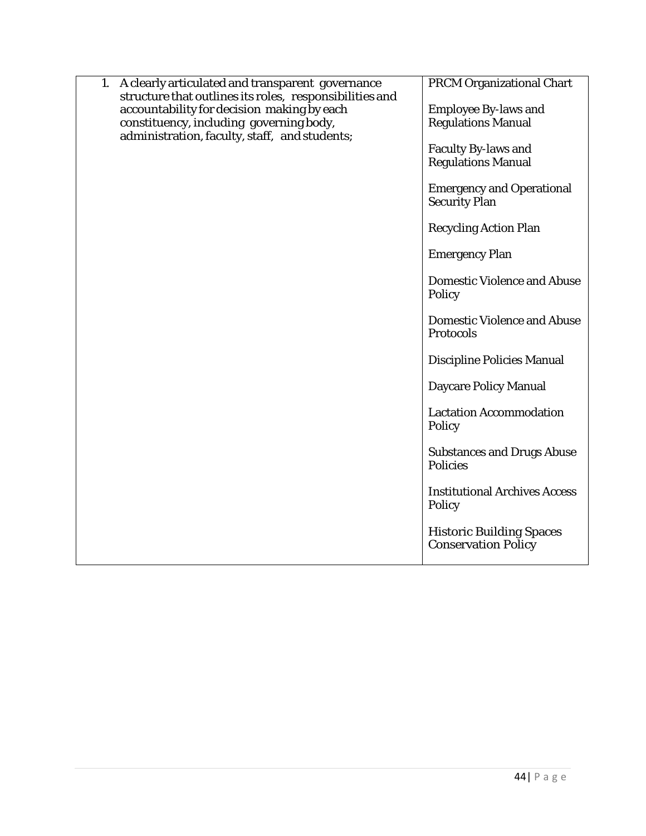| A clearly articulated and transparent governance<br>1.<br>structure that outlines its roles, responsibilities and<br>accountability for decision making by each<br>constituency, including governing body,<br>administration, faculty, staff, and students; | <b>PRCM Organizational Chart</b><br><b>Employee By-laws and</b><br><b>Regulations Manual</b><br><b>Faculty By-laws and</b><br><b>Regulations Manual</b><br><b>Emergency and Operational</b><br><b>Security Plan</b><br><b>Recycling Action Plan</b><br><b>Emergency Plan</b><br><b>Domestic Violence and Abuse</b><br>Policy<br><b>Domestic Violence and Abuse</b><br>Protocols<br><b>Discipline Policies Manual</b><br><b>Daycare Policy Manual</b><br><b>Lactation Accommodation</b><br>Policy<br><b>Substances and Drugs Abuse</b><br><b>Policies</b><br><b>Institutional Archives Access</b> |
|-------------------------------------------------------------------------------------------------------------------------------------------------------------------------------------------------------------------------------------------------------------|--------------------------------------------------------------------------------------------------------------------------------------------------------------------------------------------------------------------------------------------------------------------------------------------------------------------------------------------------------------------------------------------------------------------------------------------------------------------------------------------------------------------------------------------------------------------------------------------------|
|                                                                                                                                                                                                                                                             | Policy                                                                                                                                                                                                                                                                                                                                                                                                                                                                                                                                                                                           |
|                                                                                                                                                                                                                                                             | <b>Historic Building Spaces</b><br><b>Conservation Policy</b>                                                                                                                                                                                                                                                                                                                                                                                                                                                                                                                                    |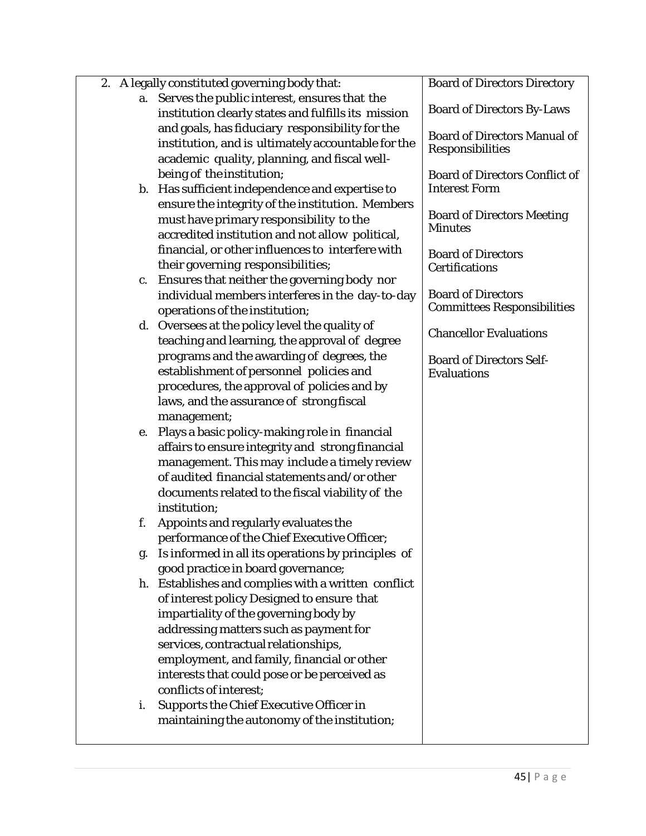|    | 2. A legally constituted governing body that:       | <b>Board of Directors Directory</b>   |
|----|-----------------------------------------------------|---------------------------------------|
| a. | Serves the public interest, ensures that the        |                                       |
|    | institution clearly states and fulfills its mission | <b>Board of Directors By-Laws</b>     |
|    | and goals, has fiduciary responsibility for the     | <b>Board of Directors Manual of</b>   |
|    | institution, and is ultimately accountable for the  | Responsibilities                      |
|    | academic quality, planning, and fiscal well-        |                                       |
|    | being of the institution;                           | <b>Board of Directors Conflict of</b> |
|    | b. Has sufficient independence and expertise to     | <b>Interest Form</b>                  |
|    | ensure the integrity of the institution. Members    |                                       |
|    | must have primary responsibility to the             | <b>Board of Directors Meeting</b>     |
|    | accredited institution and not allow political,     | <b>Minutes</b>                        |
|    | financial, or other influences to interfere with    | <b>Board of Directors</b>             |
|    | their governing responsibilities;                   | Certifications                        |
| c. | Ensures that neither the governing body nor         |                                       |
|    | individual members interferes in the day-to-day     | <b>Board of Directors</b>             |
|    | operations of the institution;                      | <b>Committees Responsibilities</b>    |
|    | d. Oversees at the policy level the quality of      |                                       |
|    | teaching and learning, the approval of degree       | <b>Chancellor Evaluations</b>         |
|    | programs and the awarding of degrees, the           | <b>Board of Directors Self-</b>       |
|    | establishment of personnel policies and             | <b>Evaluations</b>                    |
|    | procedures, the approval of policies and by         |                                       |
|    | laws, and the assurance of strong fiscal            |                                       |
|    | management;                                         |                                       |
| е. | Plays a basic policy-making role in financial       |                                       |
|    | affairs to ensure integrity and strong financial    |                                       |
|    | management. This may include a timely review        |                                       |
|    | of audited financial statements and/or other        |                                       |
|    | documents related to the fiscal viability of the    |                                       |
|    | institution;                                        |                                       |
| f. | Appoints and regularly evaluates the                |                                       |
|    | performance of the Chief Executive Officer;         |                                       |
| g. | Is informed in all its operations by principles of  |                                       |
|    | good practice in board governance;                  |                                       |
|    | h. Establishes and complies with a written conflict |                                       |
|    | of interest policy Designed to ensure that          |                                       |
|    | impartiality of the governing body by               |                                       |
|    | addressing matters such as payment for              |                                       |
|    | services, contractual relationships,                |                                       |
|    | employment, and family, financial or other          |                                       |
|    | interests that could pose or be perceived as        |                                       |
|    | conflicts of interest;                              |                                       |
| i. | <b>Supports the Chief Executive Officer in</b>      |                                       |
|    | maintaining the autonomy of the institution;        |                                       |
|    |                                                     |                                       |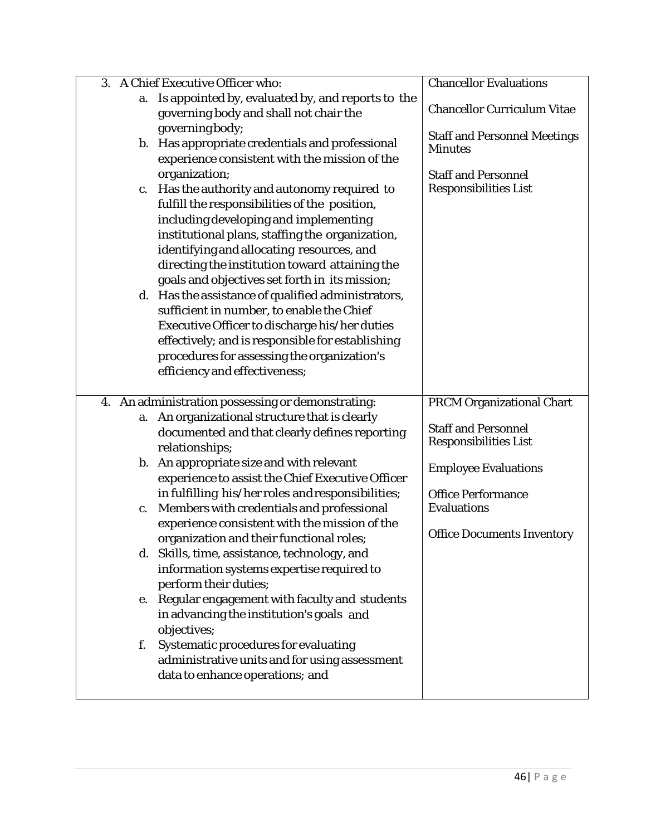| 3. | A Chief Executive Officer who:                     | <b>Chancellor Evaluations</b>       |
|----|----------------------------------------------------|-------------------------------------|
| a. | Is appointed by, evaluated by, and reports to the  |                                     |
|    | governing body and shall not chair the             | <b>Chancellor Curriculum Vitae</b>  |
|    | governing body;                                    |                                     |
|    | b. Has appropriate credentials and professional    | <b>Staff and Personnel Meetings</b> |
|    | experience consistent with the mission of the      | <b>Minutes</b>                      |
|    | organization;                                      | <b>Staff and Personnel</b>          |
|    | Has the authority and autonomy required to         | <b>Responsibilities List</b>        |
| c. | fulfill the responsibilities of the position,      |                                     |
|    | including developing and implementing              |                                     |
|    |                                                    |                                     |
|    | institutional plans, staffing the organization,    |                                     |
|    | identifying and allocating resources, and          |                                     |
|    | directing the institution toward attaining the     |                                     |
|    | goals and objectives set forth in its mission;     |                                     |
|    | d. Has the assistance of qualified administrators, |                                     |
|    | sufficient in number, to enable the Chief          |                                     |
|    | Executive Officer to discharge his/her duties      |                                     |
|    | effectively; and is responsible for establishing   |                                     |
|    | procedures for assessing the organization's        |                                     |
|    | efficiency and effectiveness;                      |                                     |
|    |                                                    |                                     |
|    |                                                    |                                     |
|    | 4. An administration possessing or demonstrating:  | <b>PRCM Organizational Chart</b>    |
| a. | An organizational structure that is clearly        | <b>Staff and Personnel</b>          |
|    | documented and that clearly defines reporting      | <b>Responsibilities List</b>        |
|    | relationships;                                     |                                     |
|    | b. An appropriate size and with relevant           | <b>Employee Evaluations</b>         |
|    | experience to assist the Chief Executive Officer   |                                     |
|    | in fulfilling his/her roles and responsibilities;  | <b>Office Performance</b>           |
| c. | Members with credentials and professional          | <b>Evaluations</b>                  |
|    | experience consistent with the mission of the      | <b>Office Documents Inventory</b>   |
|    | organization and their functional roles;           |                                     |
|    | d. Skills, time, assistance, technology, and       |                                     |
|    | information systems expertise required to          |                                     |
|    | perform their duties;                              |                                     |
|    | e. Regular engagement with faculty and students    |                                     |
|    | in advancing the institution's goals and           |                                     |
|    | objectives;                                        |                                     |
| f. | Systematic procedures for evaluating               |                                     |
|    | administrative units and for using assessment      |                                     |
|    | data to enhance operations; and                    |                                     |